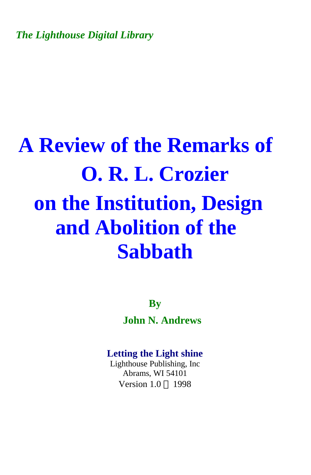*The Lighthouse Digital Library* 

## **A Review of the Remarks of O. R. L. Crozier on the Institution, Design and Abolition of the Sabbath**

**By John N. Andrews** 

## **Letting the Light shine**

Lighthouse Publishing, Inc Abrams, WI 54101 Version  $1.0 \odot 1998$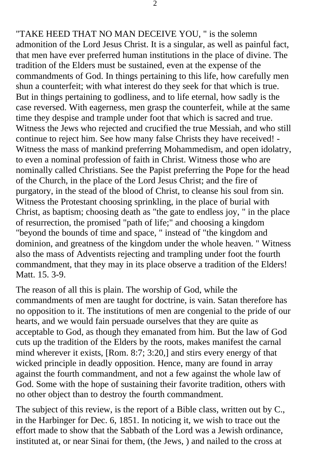"TAKE HEED THAT NO MAN DECEIVE YOU, " is the solemn admonition of the Lord Jesus Christ. It is a singular, as well as painful fact, that men have ever preferred human institutions in the place of divine. The tradition of the Elders must be sustained, even at the expense of the commandments of God. In things pertaining to this life, how carefully men shun a counterfeit; with what interest do they seek for that which is true. But in things pertaining to godliness, and to life eternal, how sadly is the case reversed. With eagerness, men grasp the counterfeit, while at the same time they despise and trample under foot that which is sacred and true. Witness the Jews who rejected and crucified the true Messiah, and who still continue to reject him. See how many false Christs they have received! - Witness the mass of mankind preferring Mohammedism, and open idolatry, to even a nominal profession of faith in Christ. Witness those who are nominally called Christians. See the Papist preferring the Pope for the head of the Church, in the place of the Lord Jesus Christ; and the fire of purgatory, in the stead of the blood of Christ, to cleanse his soul from sin. Witness the Protestant choosing sprinkling, in the place of burial with Christ, as baptism; choosing death as "the gate to endless joy, " in the place of resurrection, the promised "path of life;" and choosing a kingdom "beyond the bounds of time and space, " instead of "the kingdom and dominion, and greatness of the kingdom under the whole heaven. " Witness also the mass of Adventists rejecting and trampling under foot the fourth commandment, that they may in its place observe a tradition of the Elders! Matt. 15. 3-9.

The reason of all this is plain. The worship of God, while the commandments of men are taught for doctrine, is vain. Satan therefore has no opposition to it. The institutions of men are congenial to the pride of our hearts, and we would fain persuade ourselves that they are quite as acceptable to God, as though they emanated from him. But the law of God cuts up the tradition of the Elders by the roots, makes manifest the carnal mind wherever it exists, [Rom. 8:7; 3:20,] and stirs every energy of that wicked principle in deadly opposition. Hence, many are found in array against the fourth commandment, and not a few against the whole law of God. Some with the hope of sustaining their favorite tradition, others with no other object than to destroy the fourth commandment.

The subject of this review, is the report of a Bible class, written out by C., in the Harbinger for Dec. 6, 1851. In noticing it, we wish to trace out the effort made to show that the Sabbath of the Lord was a Jewish ordinance, instituted at, or near Sinai for them, (the Jews, ) and nailed to the cross at

2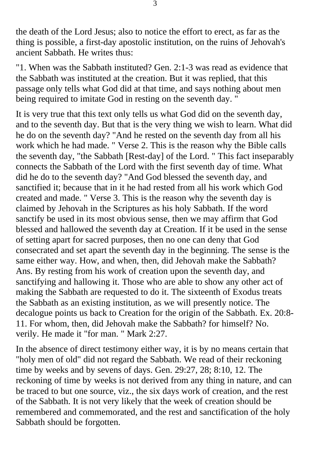the death of the Lord Jesus; also to notice the effort to erect, as far as the thing is possible, a first-day apostolic institution, on the ruins of Jehovah's ancient Sabbath. He writes thus:

"1. When was the Sabbath instituted? Gen. 2:1-3 was read as evidence that the Sabbath was instituted at the creation. But it was replied, that this passage only tells what God did at that time, and says nothing about men being required to imitate God in resting on the seventh day. "

It is very true that this text only tells us what God did on the seventh day, and to the seventh day. But that is the very thing we wish to learn. What did he do on the seventh day? "And he rested on the seventh day from all his work which he had made. " Verse 2. This is the reason why the Bible calls the seventh day, "the Sabbath [Rest-day] of the Lord. " This fact inseparably connects the Sabbath of the Lord with the first seventh day of time. What did he do to the seventh day? "And God blessed the seventh day, and sanctified it; because that in it he had rested from all his work which God created and made. " Verse 3. This is the reason why the seventh day is claimed by Jehovah in the Scriptures as his holy Sabbath. If the word sanctify be used in its most obvious sense, then we may affirm that God blessed and hallowed the seventh day at Creation. If it be used in the sense of setting apart for sacred purposes, then no one can deny that God consecrated and set apart the seventh day in the beginning. The sense is the same either way. How, and when, then, did Jehovah make the Sabbath? Ans. By resting from his work of creation upon the seventh day, and sanctifying and hallowing it. Those who are able to show any other act of making the Sabbath are requested to do it. The sixteenth of Exodus treats the Sabbath as an existing institution, as we will presently notice. The decalogue points us back to Creation for the origin of the Sabbath. Ex. 20:8- 11. For whom, then, did Jehovah make the Sabbath? for himself? No. verily. He made it "for man. " Mark 2:27.

In the absence of direct testimony either way, it is by no means certain that "holy men of old" did not regard the Sabbath. We read of their reckoning time by weeks and by sevens of days. Gen. 29:27, 28; 8:10, 12. The reckoning of time by weeks is not derived from any thing in nature, and can be traced to but one source, viz., the six days work of creation, and the rest of the Sabbath. It is not very likely that the week of creation should be remembered and commemorated, and the rest and sanctification of the holy Sabbath should be forgotten.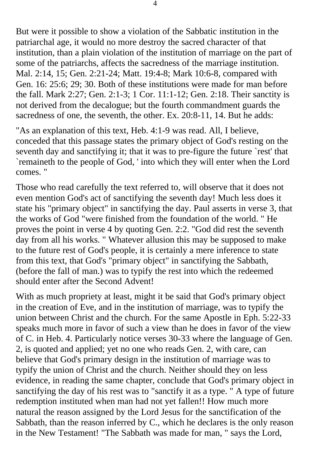But were it possible to show a violation of the Sabbatic institution in the patriarchal age, it would no more destroy the sacred character of that institution, than a plain violation of the institution of marriage on the part of some of the patriarchs, affects the sacredness of the marriage institution. Mal. 2:14, 15; Gen. 2:21-24; Matt. 19:4-8; Mark 10:6-8, compared with Gen. 16: 25:6; 29; 30. Both of these institutions were made for man before the fall. Mark 2:27; Gen. 2:1-3; 1 Cor. 11:1-12; Gen. 2:18. Their sanctity is not derived from the decalogue; but the fourth commandment guards the sacredness of one, the seventh, the other. Ex. 20:8-11, 14. But he adds:

"As an explanation of this text, Heb. 4:1-9 was read. All, I believe, conceded that this passage states the primary object of God's resting on the seventh day and sanctifying it; that it was to pre-figure the future `rest' that `remaineth to the people of God, ' into which they will enter when the Lord comes. "

Those who read carefully the text referred to, will observe that it does not even mention God's act of sanctifying the seventh day! Much less does it state his "primary object" in sanctifying the day. Paul asserts in verse 3, that the works of God "were finished from the foundation of the world. " He proves the point in verse 4 by quoting Gen. 2:2. "God did rest the seventh day from all his works. " Whatever allusion this may be supposed to make to the future rest of God's people, it is certainly a mere inference to state from this text, that God's "primary object" in sanctifying the Sabbath, (before the fall of man.) was to typify the rest into which the redeemed should enter after the Second Advent!

With as much propriety at least, might it be said that God's primary object in the creation of Eve, and in the institution of marriage, was to typify the union between Christ and the church. For the same Apostle in Eph. 5:22-33 speaks much more in favor of such a view than he does in favor of the view of C. in Heb. 4. Particularly notice verses 30-33 where the language of Gen. 2, is quoted and applied; yet no one who reads Gen. 2, with care, can believe that God's primary design in the institution of marriage was to typify the union of Christ and the church. Neither should they on less evidence, in reading the same chapter, conclude that God's primary object in sanctifying the day of his rest was to "sanctify it as a type. " A type of future redemption instituted when man had not yet fallen!! How much more natural the reason assigned by the Lord Jesus for the sanctification of the Sabbath, than the reason inferred by C., which he declares is the only reason in the New Testament! "The Sabbath was made for man, " says the Lord,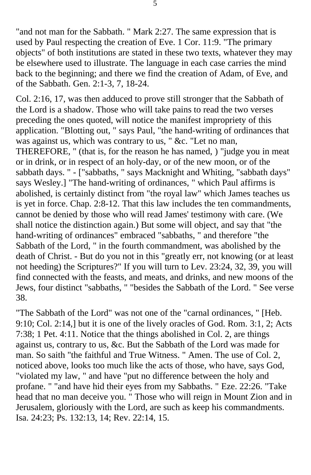"and not man for the Sabbath. " Mark 2:27. The same expression that is used by Paul respecting the creation of Eve. 1 Cor. 11:9. "The primary objects" of both institutions are stated in these two texts, whatever they may be elsewhere used to illustrate. The language in each case carries the mind back to the beginning; and there we find the creation of Adam, of Eve, and of the Sabbath. Gen. 2:1-3, 7, 18-24.

Col. 2:16, 17, was then adduced to prove still stronger that the Sabbath of the Lord is a shadow. Those who will take pains to read the two verses preceding the ones quoted, will notice the manifest impropriety of this application. "Blotting out, " says Paul, "the hand-writing of ordinances that was against us, which was contrary to us, " &c. "Let no man, THEREFORE, " (that is, for the reason he has named, ) "judge you in meat or in drink, or in respect of an holy-day, or of the new moon, or of the sabbath days. " - ["sabbaths, " says Macknight and Whiting, "sabbath days" says Wesley.] "The hand-writing of ordinances, " which Paul affirms is abolished, is certainly distinct from "the royal law" which James teaches us is yet in force. Chap. 2:8-12. That this law includes the ten commandments, cannot be denied by those who will read James' testimony with care. (We shall notice the distinction again.) But some will object, and say that "the hand-writing of ordinances" embraced "sabbaths, " and therefore "the Sabbath of the Lord, " in the fourth commandment, was abolished by the death of Christ. - But do you not in this "greatly err, not knowing (or at least not heeding) the Scriptures?" If you will turn to Lev. 23:24, 32, 39, you will find connected with the feasts, and meats, and drinks, and new moons of the Jews, four distinct "sabbaths, " "besides the Sabbath of the Lord. " See verse 38.

"The Sabbath of the Lord" was not one of the "carnal ordinances, " [Heb. 9:10; Col. 2:14,] but it is one of the lively oracles of God. Rom. 3:1, 2; Acts 7:38; 1 Pet. 4:11. Notice that the things abolished in Col. 2, are things against us, contrary to us, &c. But the Sabbath of the Lord was made for man. So saith "the faithful and True Witness. " Amen. The use of Col. 2, noticed above, looks too much like the acts of those, who have, says God, "violated my law, " and have "put no difference between the holy and profane. " "and have hid their eyes from my Sabbaths. " Eze. 22:26. "Take head that no man deceive you. " Those who will reign in Mount Zion and in Jerusalem, gloriously with the Lord, are such as keep his commandments. Isa. 24:23; Ps. 132:13, 14; Rev. 22:14, 15.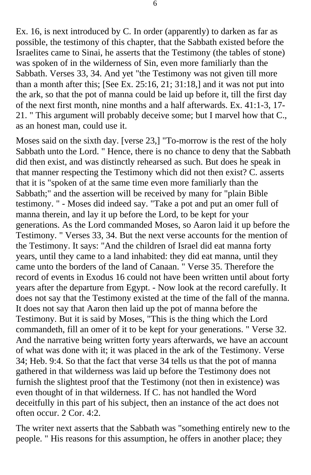Ex. 16, is next introduced by C. In order (apparently) to darken as far as possible, the testimony of this chapter, that the Sabbath existed before the Israelites came to Sinai, he asserts that the Testimony (the tables of stone) was spoken of in the wilderness of Sin, even more familiarly than the Sabbath. Verses 33, 34. And yet "the Testimony was not given till more than a month after this; [See Ex. 25:16, 21; 31:18,] and it was not put into the ark, so that the pot of manna could be laid up before it, till the first day of the next first month, nine months and a half afterwards. Ex. 41:1-3, 17 21. " This argument will probably deceive some; but I marvel how that C., as an honest man, could use it.

Moses said on the sixth day. [verse 23,] "To-morrow is the rest of the holy Sabbath unto the Lord. " Hence, there is no chance to deny that the Sabbath did then exist, and was distinctly rehearsed as such. But does he speak in that manner respecting the Testimony which did not then exist? C. asserts that it is "spoken of at the same time even more familiarly than the Sabbath;" and the assertion will be received by many for "plain Bible testimony. " - Moses did indeed say. "Take a pot and put an omer full of manna therein, and lay it up before the Lord, to be kept for your generations. As the Lord commanded Moses, so Aaron laid it up before the Testimony. " Verses 33, 34. But the next verse accounts for the mention of the Testimony. It says: "And the children of Israel did eat manna forty years, until they came to a land inhabited: they did eat manna, until they came unto the borders of the land of Canaan. " Verse 35. Therefore the record of events in Exodus 16 could not have been written until about forty years after the departure from Egypt. - Now look at the record carefully. It does not say that the Testimony existed at the time of the fall of the manna. It does not say that Aaron then laid up the pot of manna before the Testimony. But it is said by Moses, "This is the thing which the Lord commandeth, fill an omer of it to be kept for your generations. " Verse 32. And the narrative being written forty years afterwards, we have an account of what was done with it; it was placed in the ark of the Testimony. Verse 34; Heb. 9:4. So that the fact that verse 34 tells us that the pot of manna gathered in that wilderness was laid up before the Testimony does not furnish the slightest proof that the Testimony (not then in existence) was even thought of in that wilderness. If C. has not handled the Word deceitfully in this part of his subject, then an instance of the act does not often occur. 2 Cor. 4:2.

The writer next asserts that the Sabbath was "something entirely new to the people. " His reasons for this assumption, he offers in another place; they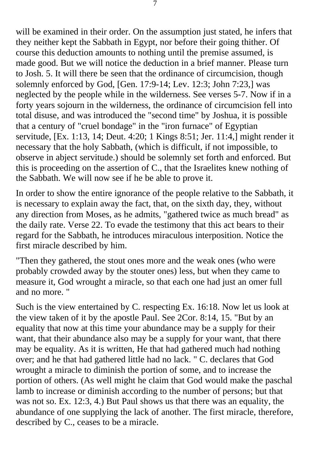will be examined in their order. On the assumption just stated, he infers that they neither kept the Sabbath in Egypt, nor before their going thither. Of course this deduction amounts to nothing until the premise assumed, is made good. But we will notice the deduction in a brief manner. Please turn to Josh. 5. It will there be seen that the ordinance of circumcision, though solemnly enforced by God, [Gen. 17:9-14; Lev. 12:3; John 7:23,] was neglected by the people while in the wilderness. See verses 5-7. Now if in a forty years sojourn in the wilderness, the ordinance of circumcision fell into total disuse, and was introduced the "second time" by Joshua, it is possible that a century of "cruel bondage" in the "iron furnace" of Egyptian servitude, [Ex. 1:13, 14; Deut. 4:20; 1 Kings 8:51; Jer. 11:4,] might render it necessary that the holy Sabbath, (which is difficult, if not impossible, to observe in abject servitude.) should be solemnly set forth and enforced. But this is proceeding on the assertion of C., that the Israelites knew nothing of the Sabbath. We will now see if he be able to prove it.

In order to show the entire ignorance of the people relative to the Sabbath, it is necessary to explain away the fact, that, on the sixth day, they, without any direction from Moses, as he admits, "gathered twice as much bread" as the daily rate. Verse 22. To evade the testimony that this act bears to their regard for the Sabbath, he introduces miraculous interposition. Notice the first miracle described by him.

"Then they gathered, the stout ones more and the weak ones (who were probably crowded away by the stouter ones) less, but when they came to measure it, God wrought a miracle, so that each one had just an omer full and no more. "

Such is the view entertained by C. respecting Ex. 16:18. Now let us look at the view taken of it by the apostle Paul. See 2Cor. 8:14, 15. "But by an equality that now at this time your abundance may be a supply for their want, that their abundance also may be a supply for your want, that there may be equality. As it is written, He that had gathered much had nothing over; and he that had gathered little had no lack. " C. declares that God wrought a miracle to diminish the portion of some, and to increase the portion of others. (As well might he claim that God would make the paschal lamb to increase or diminish according to the number of persons; but that was not so. Ex. 12:3, 4.) But Paul shows us that there was an equality, the abundance of one supplying the lack of another. The first miracle, therefore, described by C., ceases to be a miracle.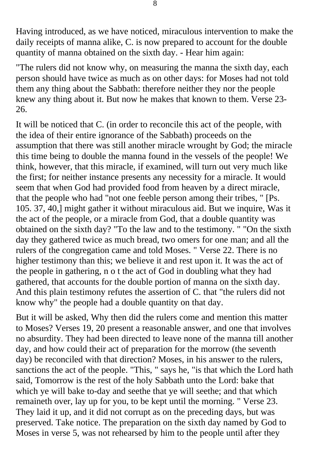Having introduced, as we have noticed, miraculous intervention to make the daily receipts of manna alike, C. is now prepared to account for the double quantity of manna obtained on the sixth day. - Hear him again:

"The rulers did not know why, on measuring the manna the sixth day, each person should have twice as much as on other days: for Moses had not told them any thing about the Sabbath: therefore neither they nor the people knew any thing about it. But now he makes that known to them. Verse 23 26.

It will be noticed that C. (in order to reconcile this act of the people, with the idea of their entire ignorance of the Sabbath) proceeds on the assumption that there was still another miracle wrought by God; the miracle this time being to double the manna found in the vessels of the people! We think, however, that this miracle, if examined, will turn out very much like the first; for neither instance presents any necessity for a miracle. It would seem that when God had provided food from heaven by a direct miracle, that the people who had "not one feeble person among their tribes, " [Ps. 105. 37, 40,] might gather it without miraculous aid. But we inquire, Was it the act of the people, or a miracle from God, that a double quantity was obtained on the sixth day? "To the law and to the testimony. " "On the sixth day they gathered twice as much bread, two omers for one man; and all the rulers of the congregation came and told Moses. " Verse 22. There is no higher testimony than this; we believe it and rest upon it. It was the act of the people in gathering, n o t the act of God in doubling what they had gathered, that accounts for the double portion of manna on the sixth day. And this plain testimony refutes the assertion of C. that "the rulers did not know why" the people had a double quantity on that day.

But it will be asked, Why then did the rulers come and mention this matter to Moses? Verses 19, 20 present a reasonable answer, and one that involves no absurdity. They had been directed to leave none of the manna till another day, and how could their act of preparation for the morrow (the seventh day) be reconciled with that direction? Moses, in his answer to the rulers, sanctions the act of the people. "This, " says he, "is that which the Lord hath said, Tomorrow is the rest of the holy Sabbath unto the Lord: bake that which ye will bake to-day and seethe that ye will seethe; and that which remaineth over, lay up for you, to be kept until the morning. " Verse 23. They laid it up, and it did not corrupt as on the preceding days, but was preserved. Take notice. The preparation on the sixth day named by God to Moses in verse 5, was not rehearsed by him to the people until after they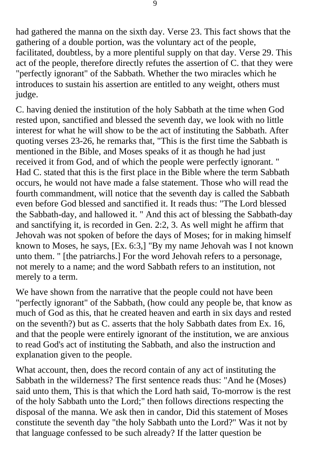had gathered the manna on the sixth day. Verse 23. This fact shows that the gathering of a double portion, was the voluntary act of the people, facilitated, doubtless, by a more plentiful supply on that day. Verse 29. This act of the people, therefore directly refutes the assertion of C. that they were "perfectly ignorant" of the Sabbath. Whether the two miracles which he introduces to sustain his assertion are entitled to any weight, others must judge.

C. having denied the institution of the holy Sabbath at the time when God rested upon, sanctified and blessed the seventh day, we look with no little interest for what he will show to be the act of instituting the Sabbath. After quoting verses 23-26, he remarks that, "This is the first time the Sabbath is mentioned in the Bible, and Moses speaks of it as though he had just received it from God, and of which the people were perfectly ignorant. " Had C. stated that this is the first place in the Bible where the term Sabbath occurs, he would not have made a false statement. Those who will read the fourth commandment, will notice that the seventh day is called the Sabbath even before God blessed and sanctified it. It reads thus: "The Lord blessed the Sabbath-day, and hallowed it. " And this act of blessing the Sabbath-day and sanctifying it, is recorded in Gen. 2:2, 3. As well might he affirm that Jehovah was not spoken of before the days of Moses; for in making himself known to Moses, he says, [Ex. 6:3,] "By my name Jehovah was I not known unto them. " [the patriarchs.] For the word Jehovah refers to a personage, not merely to a name; and the word Sabbath refers to an institution, not merely to a term.

We have shown from the narrative that the people could not have been "perfectly ignorant" of the Sabbath, (how could any people be, that know as much of God as this, that he created heaven and earth in six days and rested on the seventh?) but as C. asserts that the holy Sabbath dates from Ex. 16, and that the people were entirely ignorant of the institution, we are anxious to read God's act of instituting the Sabbath, and also the instruction and explanation given to the people.

What account, then, does the record contain of any act of instituting the Sabbath in the wilderness? The first sentence reads thus: "And he (Moses) said unto them, This is that which the Lord hath said, To-morrow is the rest of the holy Sabbath unto the Lord;" then follows directions respecting the disposal of the manna. We ask then in candor, Did this statement of Moses constitute the seventh day "the holy Sabbath unto the Lord?" Was it not by that language confessed to be such already? If the latter question be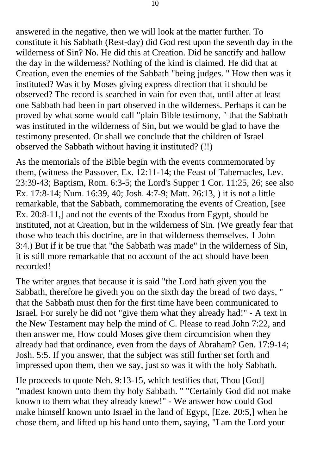answered in the negative, then we will look at the matter further. To constitute it his Sabbath (Rest-day) did God rest upon the seventh day in the wilderness of Sin? No. He did this at Creation. Did he sanctify and hallow the day in the wilderness? Nothing of the kind is claimed. He did that at Creation, even the enemies of the Sabbath "being judges. " How then was it instituted? Was it by Moses giving express direction that it should be observed? The record is searched in vain for even that, until after at least one Sabbath had been in part observed in the wilderness. Perhaps it can be proved by what some would call "plain Bible testimony, " that the Sabbath was instituted in the wilderness of Sin, but we would be glad to have the testimony presented. Or shall we conclude that the children of Israel observed the Sabbath without having it instituted? (!!)

As the memorials of the Bible begin with the events commemorated by them, (witness the Passover, Ex. 12:11-14; the Feast of Tabernacles, Lev. 23:39-43; Baptism, Rom. 6:3-5; the Lord's Supper 1 Cor. 11:25, 26; see also Ex. 17:8-14; Num. 16:39, 40; Josh. 4:7-9; Matt. 26:13, ) it is not a little remarkable, that the Sabbath, commemorating the events of Creation, [see Ex. 20:8-11,] and not the events of the Exodus from Egypt, should be instituted, not at Creation, but in the wilderness of Sin. (We greatly fear that those who teach this doctrine, are in that wilderness themselves. 1 John 3:4.) But if it be true that "the Sabbath was made" in the wilderness of Sin, it is still more remarkable that no account of the act should have been recorded!

The writer argues that because it is said "the Lord hath given you the Sabbath, therefore he giveth you on the sixth day the bread of two days, " that the Sabbath must then for the first time have been communicated to Israel. For surely he did not "give them what they already had!" - A text in the New Testament may help the mind of C. Please to read John 7:22, and then answer me, How could Moses give them circumcision when they already had that ordinance, even from the days of Abraham? Gen. 17:9-14; Josh. 5:5. If you answer, that the subject was still further set forth and impressed upon them, then we say, just so was it with the holy Sabbath.

He proceeds to quote Neh. 9:13-15, which testifies that, Thou [God] "madest known unto them thy holy Sabbath. " "Certainly God did not make known to them what they already knew!" - We answer how could God make himself known unto Israel in the land of Egypt, [Eze. 20:5,] when he chose them, and lifted up his hand unto them, saying, "I am the Lord your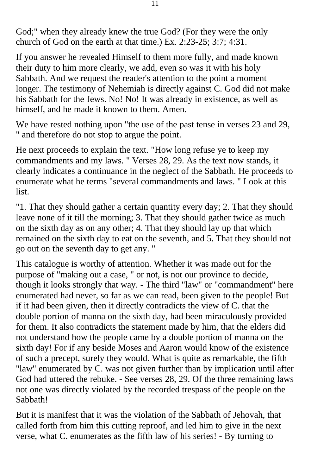God;" when they already knew the true God? (For they were the only church of God on the earth at that time.) Ex. 2:23-25; 3:7; 4:31.

If you answer he revealed Himself to them more fully, and made known their duty to him more clearly, we add, even so was it with his holy Sabbath. And we request the reader's attention to the point a moment longer. The testimony of Nehemiah is directly against C. God did not make his Sabbath for the Jews. No! No! It was already in existence, as well as himself, and he made it known to them. Amen.

We have rested nothing upon "the use of the past tense in verses 23 and 29, " and therefore do not stop to argue the point.

He next proceeds to explain the text. "How long refuse ye to keep my commandments and my laws. " Verses 28, 29. As the text now stands, it clearly indicates a continuance in the neglect of the Sabbath. He proceeds to enumerate what he terms "several commandments and laws. " Look at this list.

"1. That they should gather a certain quantity every day; 2. That they should leave none of it till the morning; 3. That they should gather twice as much on the sixth day as on any other; 4. That they should lay up that which remained on the sixth day to eat on the seventh, and 5. That they should not go out on the seventh day to get any. "

This catalogue is worthy of attention. Whether it was made out for the purpose of "making out a case, " or not, is not our province to decide, though it looks strongly that way. - The third "law" or "commandment" here enumerated had never, so far as we can read, been given to the people! But if it had been given, then it directly contradicts the view of C. that the double portion of manna on the sixth day, had been miraculously provided for them. It also contradicts the statement made by him, that the elders did not understand how the people came by a double portion of manna on the sixth day! For if any beside Moses and Aaron would know of the existence of such a precept, surely they would. What is quite as remarkable, the fifth "law" enumerated by C. was not given further than by implication until after God had uttered the rebuke. - See verses 28, 29. Of the three remaining laws not one was directly violated by the recorded trespass of the people on the Sabbath!

But it is manifest that it was the violation of the Sabbath of Jehovah, that called forth from him this cutting reproof, and led him to give in the next verse, what C. enumerates as the fifth law of his series! - By turning to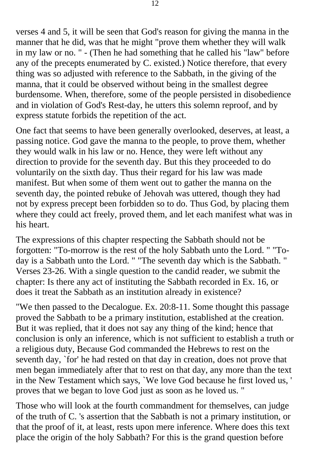verses 4 and 5, it will be seen that God's reason for giving the manna in the manner that he did, was that he might "prove them whether they will walk in my law or no. " - (Then he had something that he called his "law" before any of the precepts enumerated by C. existed.) Notice therefore, that every thing was so adjusted with reference to the Sabbath, in the giving of the manna, that it could be observed without being in the smallest degree burdensome. When, therefore, some of the people persisted in disobedience and in violation of God's Rest-day, he utters this solemn reproof, and by express statute forbids the repetition of the act.

One fact that seems to have been generally overlooked, deserves, at least, a passing notice. God gave the manna to the people, to prove them, whether they would walk in his law or no. Hence, they were left without any direction to provide for the seventh day. But this they proceeded to do voluntarily on the sixth day. Thus their regard for his law was made manifest. But when some of them went out to gather the manna on the seventh day, the pointed rebuke of Jehovah was uttered, though they had not by express precept been forbidden so to do. Thus God, by placing them where they could act freely, proved them, and let each manifest what was in his heart.

The expressions of this chapter respecting the Sabbath should not be forgotten: "To-morrow is the rest of the holy Sabbath unto the Lord. " "Today is a Sabbath unto the Lord. " "The seventh day which is the Sabbath. " Verses 23-26. With a single question to the candid reader, we submit the chapter: Is there any act of instituting the Sabbath recorded in Ex. 16, or does it treat the Sabbath as an institution already in existence?

"We then passed to the Decalogue. Ex. 20:8-11. Some thought this passage proved the Sabbath to be a primary institution, established at the creation. But it was replied, that it does not say any thing of the kind; hence that conclusion is only an inference, which is not sufficient to establish a truth or a religious duty, Because God commanded the Hebrews to rest on the seventh day, `for' he had rested on that day in creation, does not prove that men began immediately after that to rest on that day, any more than the text in the New Testament which says, `We love God because he first loved us, ' proves that we began to love God just as soon as he loved us. "

Those who will look at the fourth commandment for themselves, can judge of the truth of C. 's assertion that the Sabbath is not a primary institution, or that the proof of it, at least, rests upon mere inference. Where does this text place the origin of the holy Sabbath? For this is the grand question before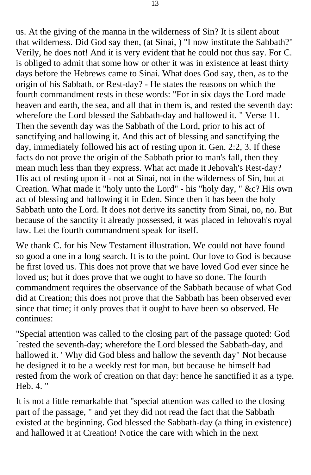us. At the giving of the manna in the wilderness of Sin? It is silent about that wilderness. Did God say then, (at Sinai, ) "I now institute the Sabbath?" Verily, he does not! And it is very evident that he could not thus say. For C. is obliged to admit that some how or other it was in existence at least thirty days before the Hebrews came to Sinai. What does God say, then, as to the origin of his Sabbath, or Rest-day? - He states the reasons on which the fourth commandment rests in these words: "For in six days the Lord made heaven and earth, the sea, and all that in them is, and rested the seventh day: wherefore the Lord blessed the Sabbath-day and hallowed it. " Verse 11. Then the seventh day was the Sabbath of the Lord, prior to his act of sanctifying and hallowing it. And this act of blessing and sanctifying the day, immediately followed his act of resting upon it. Gen. 2:2, 3. If these facts do not prove the origin of the Sabbath prior to man's fall, then they mean much less than they express. What act made it Jehovah's Rest-day? His act of resting upon it - not at Sinai, not in the wilderness of Sin, but at Creation. What made it "holy unto the Lord" - his "holy day, " &c? His own act of blessing and hallowing it in Eden. Since then it has been the holy Sabbath unto the Lord. It does not derive its sanctity from Sinai, no, no. But because of the sanctity it already possessed, it was placed in Jehovah's royal law. Let the fourth commandment speak for itself.

We thank C. for his New Testament illustration. We could not have found so good a one in a long search. It is to the point. Our love to God is because he first loved us. This does not prove that we have loved God ever since he loved us; but it does prove that we ought to have so done. The fourth commandment requires the observance of the Sabbath because of what God did at Creation; this does not prove that the Sabbath has been observed ever since that time; it only proves that it ought to have been so observed. He continues:

"Special attention was called to the closing part of the passage quoted: God `rested the seventh-day; wherefore the Lord blessed the Sabbath-day, and hallowed it. ' Why did God bless and hallow the seventh day" Not because he designed it to be a weekly rest for man, but because he himself had rested from the work of creation on that day: hence he sanctified it as a type. Heb. 4. "

It is not a little remarkable that "special attention was called to the closing part of the passage, " and yet they did not read the fact that the Sabbath existed at the beginning. God blessed the Sabbath-day (a thing in existence) and hallowed it at Creation! Notice the care with which in the next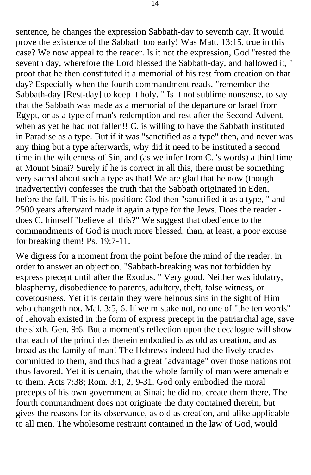sentence, he changes the expression Sabbath-day to seventh day. It would prove the existence of the Sabbath too early! Was Matt. 13:15, true in this case? We now appeal to the reader. Is it not the expression, God "rested the seventh day, wherefore the Lord blessed the Sabbath-day, and hallowed it, " proof that he then constituted it a memorial of his rest from creation on that day? Especially when the fourth commandment reads, "remember the Sabbath-day [Rest-day] to keep it holy. " Is it not sublime nonsense, to say that the Sabbath was made as a memorial of the departure or Israel from Egypt, or as a type of man's redemption and rest after the Second Advent, when as yet he had not fallen!! C. is willing to have the Sabbath instituted in Paradise as a type. But if it was "sanctified as a type" then, and never was any thing but a type afterwards, why did it need to be instituted a second time in the wilderness of Sin, and (as we infer from C. 's words) a third time at Mount Sinai? Surely if he is correct in all this, there must be something very sacred about such a type as that! We are glad that he now (though inadvertently) confesses the truth that the Sabbath originated in Eden, before the fall. This is his position: God then "sanctified it as a type, " and 2500 years afterward made it again a type for the Jews. Does the reader does C. himself "believe all this?" We suggest that obedience to the commandments of God is much more blessed, than, at least, a poor excuse for breaking them! Ps. 19:7-11.

We digress for a moment from the point before the mind of the reader, in order to answer an objection. "Sabbath-breaking was not forbidden by express precept until after the Exodus. " Very good. Neither was idolatry, blasphemy, disobedience to parents, adultery, theft, false witness, or covetousness. Yet it is certain they were heinous sins in the sight of Him who changeth not. Mal. 3:5, 6. If we mistake not, no one of "the ten words" of Jehovah existed in the form of express precept in the patriarchal age, save the sixth. Gen. 9:6. But a moment's reflection upon the decalogue will show that each of the principles therein embodied is as old as creation, and as broad as the family of man! The Hebrews indeed had the lively oracles committed to them, and thus had a great "advantage" over those nations not thus favored. Yet it is certain, that the whole family of man were amenable to them. Acts 7:38; Rom. 3:1, 2, 9-31. God only embodied the moral precepts of his own government at Sinai; he did not create them there. The fourth commandment does not originate the duty contained therein, but gives the reasons for its observance, as old as creation, and alike applicable to all men. The wholesome restraint contained in the law of God, would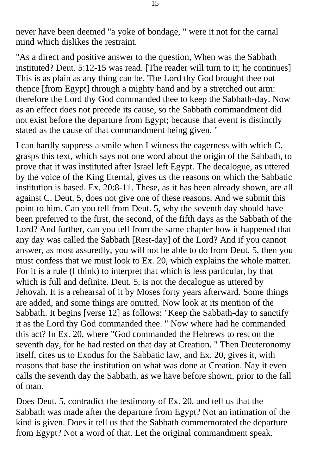never have been deemed "a yoke of bondage, " were it not for the carnal mind which dislikes the restraint.

"As a direct and positive answer to the question, When was the Sabbath instituted? Deut. 5:12-15 was read. [The reader will turn to it; he continues] This is as plain as any thing can be. The Lord thy God brought thee out thence [from Egypt] through a mighty hand and by a stretched out arm: therefore the Lord thy God commanded thee to keep the Sabbath-day. Now as an effect does not precede its cause, so the Sabbath commandment did not exist before the departure from Egypt; because that event is distinctly stated as the cause of that commandment being given. "

I can hardly suppress a smile when I witness the eagerness with which C. grasps this text, which says not one word about the origin of the Sabbath, to prove that it was instituted after Israel left Egypt. The decalogue, as uttered by the voice of the King Eternal, gives us the reasons on which the Sabbatic institution is based. Ex. 20:8-11. These, as it has been already shown, are all against C. Deut. 5, does not give one of these reasons. And we submit this point to him. Can you tell from Deut. 5, why the seventh day should have been preferred to the first, the second, of the fifth days as the Sabbath of the Lord? And further, can you tell from the same chapter how it happened that any day was called the Sabbath [Rest-day] of the Lord? And if you cannot answer, as most assuredly, you will not be able to do from Deut. 5, then you must confess that we must look to Ex. 20, which explains the whole matter. For it is a rule (I think) to interpret that which is less particular, by that which is full and definite. Deut. 5, is not the decalogue as uttered by Jehovah. It is a rehearsal of it by Moses forty years afterward. Some things are added, and some things are omitted. Now look at its mention of the Sabbath. It begins [verse 12] as follows: "Keep the Sabbath-day to sanctify it as the Lord thy God commanded thee. " Now where had he commanded this act? In Ex. 20, where "God commanded the Hebrews to rest on the seventh day, for he had rested on that day at Creation. " Then Deuteronomy itself, cites us to Exodus for the Sabbatic law, and Ex. 20, gives it, with reasons that base the institution on what was done at Creation. Nay it even calls the seventh day the Sabbath, as we have before shown, prior to the fall of man.

Does Deut. 5, contradict the testimony of Ex. 20, and tell us that the Sabbath was made after the departure from Egypt? Not an intimation of the kind is given. Does it tell us that the Sabbath commemorated the departure from Egypt? Not a word of that. Let the original commandment speak.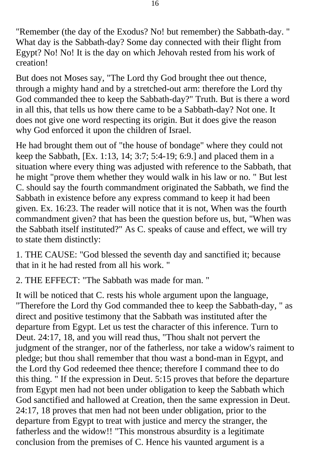"Remember (the day of the Exodus? No! but remember) the Sabbath-day. " What day is the Sabbath-day? Some day connected with their flight from Egypt? No! No! It is the day on which Jehovah rested from his work of creation!

But does not Moses say, "The Lord thy God brought thee out thence, through a mighty hand and by a stretched-out arm: therefore the Lord thy God commanded thee to keep the Sabbath-day?" Truth. But is there a word in all this, that tells us how there came to be a Sabbath-day? Not one. It does not give one word respecting its origin. But it does give the reason why God enforced it upon the children of Israel.

He had brought them out of "the house of bondage" where they could not keep the Sabbath, [Ex. 1:13, 14; 3:7; 5:4-19; 6:9.] and placed them in a situation where every thing was adjusted with reference to the Sabbath, that he might "prove them whether they would walk in his law or no. " But lest C. should say the fourth commandment originated the Sabbath, we find the Sabbath in existence before any express command to keep it had been given. Ex. 16:23. The reader will notice that it is not, When was the fourth commandment given? that has been the question before us, but, "When was the Sabbath itself instituted?" As C. speaks of cause and effect, we will try to state them distinctly:

1. THE CAUSE: "God blessed the seventh day and sanctified it; because that in it he had rested from all his work. "

2. THE EFFECT: "The Sabbath was made for man. "

It will be noticed that C. rests his whole argument upon the language, "Therefore the Lord thy God commanded thee to keep the Sabbath-day, " as direct and positive testimony that the Sabbath was instituted after the departure from Egypt. Let us test the character of this inference. Turn to Deut. 24:17, 18, and you will read thus, "Thou shalt not pervert the judgment of the stranger, nor of the fatherless, nor take a widow's raiment to pledge; but thou shall remember that thou wast a bond-man in Egypt, and the Lord thy God redeemed thee thence; therefore I command thee to do this thing. " If the expression in Deut. 5:15 proves that before the departure from Egypt men had not been under obligation to keep the Sabbath which God sanctified and hallowed at Creation, then the same expression in Deut. 24:17, 18 proves that men had not been under obligation, prior to the departure from Egypt to treat with justice and mercy the stranger, the fatherless and the widow!! "This monstrous absurdity is a legitimate conclusion from the premises of C. Hence his vaunted argument is a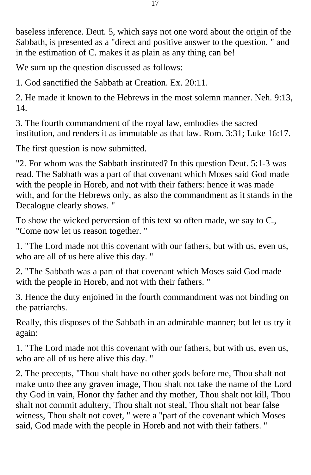baseless inference. Deut. 5, which says not one word about the origin of the Sabbath, is presented as a "direct and positive answer to the question, " and in the estimation of C. makes it as plain as any thing can be!

We sum up the question discussed as follows:

1. God sanctified the Sabbath at Creation. Ex. 20:11.

2. He made it known to the Hebrews in the most solemn manner. Neh. 9:13, 14.

3. The fourth commandment of the royal law, embodies the sacred institution, and renders it as immutable as that law. Rom. 3:31; Luke 16:17.

The first question is now submitted.

"2. For whom was the Sabbath instituted? In this question Deut. 5:1-3 was read. The Sabbath was a part of that covenant which Moses said God made with the people in Horeb, and not with their fathers: hence it was made with, and for the Hebrews only, as also the commandment as it stands in the Decalogue clearly shows. "

To show the wicked perversion of this text so often made, we say to C., "Come now let us reason together. "

1. "The Lord made not this covenant with our fathers, but with us, even us, who are all of us here alive this day. "

2. "The Sabbath was a part of that covenant which Moses said God made with the people in Horeb, and not with their fathers. "

3. Hence the duty enjoined in the fourth commandment was not binding on the patriarchs.

Really, this disposes of the Sabbath in an admirable manner; but let us try it again:

1. "The Lord made not this covenant with our fathers, but with us, even us, who are all of us here alive this day. "

2. The precepts, "Thou shalt have no other gods before me, Thou shalt not make unto thee any graven image, Thou shalt not take the name of the Lord thy God in vain, Honor thy father and thy mother, Thou shalt not kill, Thou shalt not commit adultery, Thou shalt not steal, Thou shalt not bear false witness, Thou shalt not covet, " were a "part of the covenant which Moses said, God made with the people in Horeb and not with their fathers. "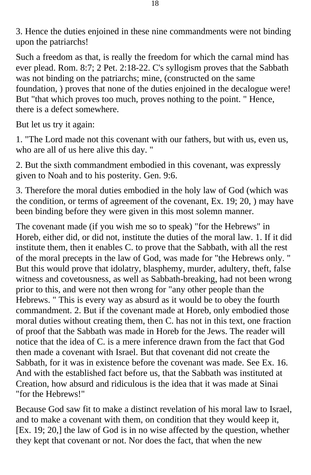3. Hence the duties enjoined in these nine commandments were not binding upon the patriarchs!

Such a freedom as that, is really the freedom for which the carnal mind has ever plead. Rom. 8:7; 2 Pet. 2:18-22. C's syllogism proves that the Sabbath was not binding on the patriarchs; mine, (constructed on the same foundation, ) proves that none of the duties enjoined in the decalogue were! But "that which proves too much, proves nothing to the point. " Hence, there is a defect somewhere.

But let us try it again:

1. "The Lord made not this covenant with our fathers, but with us, even us, who are all of us here alive this day. "

2. But the sixth commandment embodied in this covenant, was expressly given to Noah and to his posterity. Gen. 9:6.

3. Therefore the moral duties embodied in the holy law of God (which was the condition, or terms of agreement of the covenant, Ex. 19; 20, ) may have been binding before they were given in this most solemn manner.

The covenant made (if you wish me so to speak) "for the Hebrews" in Horeb, either did, or did not, institute the duties of the moral law. 1. If it did institute them, then it enables C. to prove that the Sabbath, with all the rest of the moral precepts in the law of God, was made for "the Hebrews only. " But this would prove that idolatry, blasphemy, murder, adultery, theft, false witness and covetousness, as well as Sabbath-breaking, had not been wrong prior to this, and were not then wrong for "any other people than the Hebrews. " This is every way as absurd as it would be to obey the fourth commandment. 2. But if the covenant made at Horeb, only embodied those moral duties without creating them, then C. has not in this text, one fraction of proof that the Sabbath was made in Horeb for the Jews. The reader will notice that the idea of C. is a mere inference drawn from the fact that God then made a covenant with Israel. But that covenant did not create the Sabbath, for it was in existence before the covenant was made. See Ex. 16. And with the established fact before us, that the Sabbath was instituted at Creation, how absurd and ridiculous is the idea that it was made at Sinai "for the Hebrews!"

Because God saw fit to make a distinct revelation of his moral law to Israel, and to make a covenant with them, on condition that they would keep it, [Ex. 19; 20,] the law of God is in no wise affected by the question, whether they kept that covenant or not. Nor does the fact, that when the new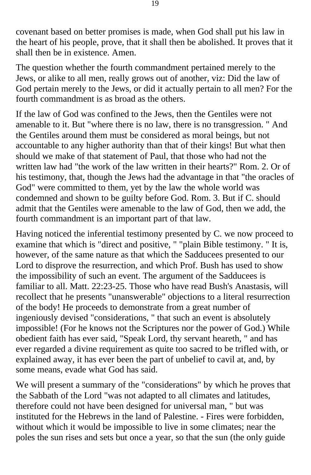covenant based on better promises is made, when God shall put his law in the heart of his people, prove, that it shall then be abolished. It proves that it shall then be in existence. Amen.

The question whether the fourth commandment pertained merely to the Jews, or alike to all men, really grows out of another, viz: Did the law of God pertain merely to the Jews, or did it actually pertain to all men? For the fourth commandment is as broad as the others.

If the law of God was confined to the Jews, then the Gentiles were not amenable to it. But "where there is no law, there is no transgression. " And the Gentiles around them must be considered as moral beings, but not accountable to any higher authority than that of their kings! But what then should we make of that statement of Paul, that those who had not the written law had "the work of the law written in their hearts?" Rom. 2. Or of his testimony, that, though the Jews had the advantage in that "the oracles of God" were committed to them, yet by the law the whole world was condemned and shown to be guilty before God. Rom. 3. But if C. should admit that the Gentiles were amenable to the law of God, then we add, the fourth commandment is an important part of that law.

Having noticed the inferential testimony presented by C. we now proceed to examine that which is "direct and positive, " "plain Bible testimony. " It is, however, of the same nature as that which the Sadducees presented to our Lord to disprove the resurrection, and which Prof. Bush has used to show the impossibility of such an event. The argument of the Sadducees is familiar to all. Matt. 22:23-25. Those who have read Bush's Anastasis, will recollect that he presents "unanswerable" objections to a literal resurrection of the body! He proceeds to demonstrate from a great number of ingeniously devised "considerations, " that such an event is absolutely impossible! (For he knows not the Scriptures nor the power of God.) While obedient faith has ever said, "Speak Lord, thy servant heareth, " and has ever regarded a divine requirement as quite too sacred to be trifled with, or explained away, it has ever been the part of unbelief to cavil at, and, by some means, evade what God has said.

We will present a summary of the "considerations" by which he proves that the Sabbath of the Lord "was not adapted to all climates and latitudes, therefore could not have been designed for universal man, " but was instituted for the Hebrews in the land of Palestine. - Fires were forbidden, without which it would be impossible to live in some climates; near the poles the sun rises and sets but once a year, so that the sun (the only guide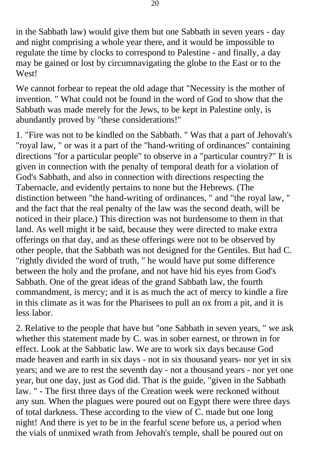in the Sabbath law) would give them but one Sabbath in seven years - day and night comprising a whole year there, and it would be impossible to regulate the time by clocks to correspond to Palestine - and finally, a day may be gained or lost by circumnavigating the globe to the East or to the West!

We cannot forbear to repeat the old adage that "Necessity is the mother of invention. " What could not be found in the word of God to show that the Sabbath was made merely for the Jews, to be kept in Palestine only, is abundantly proved by "these considerations!"

1. "Fire was not to be kindled on the Sabbath. " Was that a part of Jehovah's "royal law, " or was it a part of the "hand-writing of ordinances" containing directions "for a particular people" to observe in a "particular country?" It is given in connection with the penalty of temporal death for a violation of God's Sabbath, and also in connection with directions respecting the Tabernacle, and evidently pertains to none but the Hebrews. (The distinction between "the hand-writing of ordinances, " and "the royal law, " and the fact that the real penalty of the law was the second death, will be noticed in their place.) This direction was not burdensome to them in that land. As well might it be said, because they were directed to make extra offerings on that day, and as these offerings were not to be observed by other people, that the Sabbath was not designed for the Gentiles. But had C. "rightly divided the word of truth, " he would have put some difference between the holy and the profane, and not have hid his eyes from God's Sabbath. One of the great ideas of the grand Sabbath law, the fourth commandment, is mercy; and it is as much the act of mercy to kindle a fire in this climate as it was for the Pharisees to pull an ox from a pit, and it is less labor.

2. Relative to the people that have but "one Sabbath in seven years, " we ask whether this statement made by C. was in sober earnest, or thrown in for effect. Look at the Sabbatic law. We are to work six days because God made heaven and earth in six days - not in six thousand years- nor yet in six years; and we are to rest the seventh day - not a thousand years - nor yet one year, but one day, just as God did. That is the guide, "given in the Sabbath law. " - The first three days of the Creation week were reckoned without any sun. When the plagues were poured out on Egypt there were three days of total darkness. These according to the view of C. made but one long night! And there is yet to be in the fearful scene before us, a period when the vials of unmixed wrath from Jehovah's temple, shall be poured out on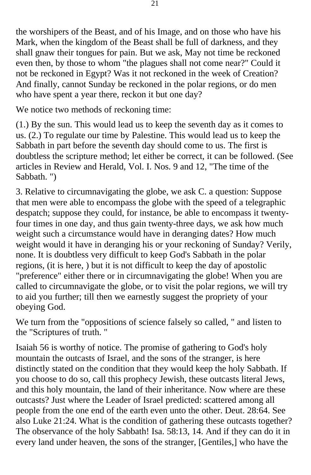the worshipers of the Beast, and of his Image, and on those who have his Mark, when the kingdom of the Beast shall be full of darkness, and they shall gnaw their tongues for pain. But we ask, May not time be reckoned even then, by those to whom "the plagues shall not come near?" Could it not be reckoned in Egypt? Was it not reckoned in the week of Creation? And finally, cannot Sunday be reckoned in the polar regions, or do men who have spent a year there, reckon it but one day?

We notice two methods of reckoning time:

(1.) By the sun. This would lead us to keep the seventh day as it comes to us. (2.) To regulate our time by Palestine. This would lead us to keep the Sabbath in part before the seventh day should come to us. The first is doubtless the scripture method; let either be correct, it can be followed. (See articles in Review and Herald, Vol. I. Nos. 9 and 12, "The time of the Sabbath. ")

3. Relative to circumnavigating the globe, we ask C. a question: Suppose that men were able to encompass the globe with the speed of a telegraphic despatch; suppose they could, for instance, be able to encompass it twentyfour times in one day, and thus gain twenty-three days, we ask how much weight such a circumstance would have in deranging dates? How much weight would it have in deranging his or your reckoning of Sunday? Verily, none. It is doubtless very difficult to keep God's Sabbath in the polar regions, (it is here, ) but it is not difficult to keep the day of apostolic "preference" either there or in circumnavigating the globe! When you are called to circumnavigate the globe, or to visit the polar regions, we will try to aid you further; till then we earnestly suggest the propriety of your obeying God.

We turn from the "oppositions of science falsely so called, " and listen to the "Scriptures of truth. "

Isaiah 56 is worthy of notice. The promise of gathering to God's holy mountain the outcasts of Israel, and the sons of the stranger, is here distinctly stated on the condition that they would keep the holy Sabbath. If you choose to do so, call this prophecy Jewish, these outcasts literal Jews, and this holy mountain, the land of their inheritance. Now where are these outcasts? Just where the Leader of Israel predicted: scattered among all people from the one end of the earth even unto the other. Deut. 28:64. See also Luke 21:24. What is the condition of gathering these outcasts together? The observance of the holy Sabbath! Isa. 58:13, 14. And if they can do it in every land under heaven, the sons of the stranger, [Gentiles,] who have the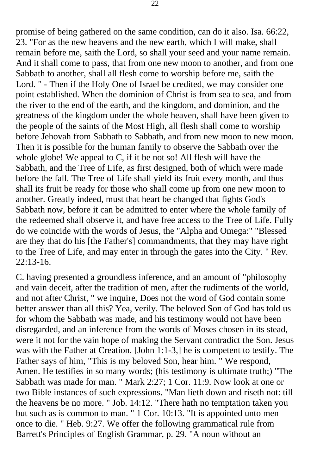promise of being gathered on the same condition, can do it also. Isa. 66:22, 23. "For as the new heavens and the new earth, which I will make, shall remain before me, saith the Lord, so shall your seed and your name remain. And it shall come to pass, that from one new moon to another, and from one Sabbath to another, shall all flesh come to worship before me, saith the Lord. " - Then if the Holy One of Israel be credited, we may consider one point established. When the dominion of Christ is from sea to sea, and from the river to the end of the earth, and the kingdom, and dominion, and the greatness of the kingdom under the whole heaven, shall have been given to the people of the saints of the Most High, all flesh shall come to worship before Jehovah from Sabbath to Sabbath, and from new moon to new moon. Then it is possible for the human family to observe the Sabbath over the whole globe! We appeal to C, if it be not so! All flesh will have the Sabbath, and the Tree of Life, as first designed, both of which were made before the fall. The Tree of Life shall yield its fruit every month, and thus shall its fruit be ready for those who shall come up from one new moon to another. Greatly indeed, must that heart be changed that fights God's Sabbath now, before it can be admitted to enter where the whole family of the redeemed shall observe it, and have free access to the Tree of Life. Fully do we coincide with the words of Jesus, the "Alpha and Omega:" "Blessed are they that do his [the Father's] commandments, that they may have right to the Tree of Life, and may enter in through the gates into the City. " Rev. 22:13-16.

C. having presented a groundless inference, and an amount of "philosophy and vain deceit, after the tradition of men, after the rudiments of the world, and not after Christ, " we inquire, Does not the word of God contain some better answer than all this? Yea, verily. The beloved Son of God has told us for whom the Sabbath was made, and his testimony would not have been disregarded, and an inference from the words of Moses chosen in its stead, were it not for the vain hope of making the Servant contradict the Son. Jesus was with the Father at Creation, [John 1:1-3,] he is competent to testify. The Father says of him, "This is my beloved Son, hear him. " We respond, Amen. He testifies in so many words; (his testimony is ultimate truth;) "The Sabbath was made for man. " Mark 2:27; 1 Cor. 11:9. Now look at one or two Bible instances of such expressions. "Man lieth down and riseth not: till the heavens be no more. " Job. 14:12. "There hath no temptation taken you but such as is common to man. " 1 Cor. 10:13. "It is appointed unto men once to die. " Heb. 9:27. We offer the following grammatical rule from Barrett's Principles of English Grammar, p. 29. "A noun without an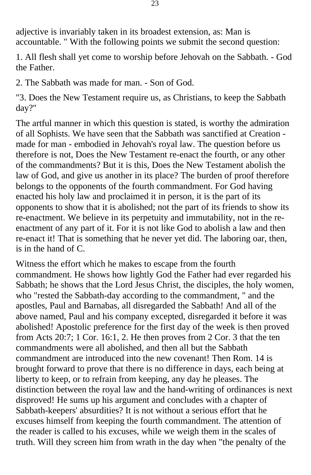adjective is invariably taken in its broadest extension, as: Man is accountable. " With the following points we submit the second question:

1. All flesh shall yet come to worship before Jehovah on the Sabbath. - God the Father.

2. The Sabbath was made for man. - Son of God.

"3. Does the New Testament require us, as Christians, to keep the Sabbath day?"

The artful manner in which this question is stated, is worthy the admiration of all Sophists. We have seen that the Sabbath was sanctified at Creation made for man - embodied in Jehovah's royal law. The question before us therefore is not, Does the New Testament re-enact the fourth, or any other of the commandments? But it is this, Does the New Testament abolish the law of God, and give us another in its place? The burden of proof therefore belongs to the opponents of the fourth commandment. For God having enacted his holy law and proclaimed it in person, it is the part of its opponents to show that it is abolished; not the part of its friends to show its re-enactment. We believe in its perpetuity and immutability, not in the reenactment of any part of it. For it is not like God to abolish a law and then re-enact it! That is something that he never yet did. The laboring oar, then, is in the hand of C.

Witness the effort which he makes to escape from the fourth commandment. He shows how lightly God the Father had ever regarded his Sabbath; he shows that the Lord Jesus Christ, the disciples, the holy women, who "rested the Sabbath-day according to the commandment, " and the apostles, Paul and Barnabas, all disregarded the Sabbath! And all of the above named, Paul and his company excepted, disregarded it before it was abolished! Apostolic preference for the first day of the week is then proved from Acts 20:7; 1 Cor. 16:1, 2. He then proves from 2 Cor. 3 that the ten commandments were all abolished, and then all but the Sabbath commandment are introduced into the new covenant! Then Rom. 14 is brought forward to prove that there is no difference in days, each being at liberty to keep, or to refrain from keeping, any day he pleases. The distinction between the royal law and the hand-writing of ordinances is next disproved! He sums up his argument and concludes with a chapter of Sabbath-keepers' absurdities? It is not without a serious effort that he excuses himself from keeping the fourth commandment. The attention of the reader is called to his excuses, while we weigh them in the scales of truth. Will they screen him from wrath in the day when "the penalty of the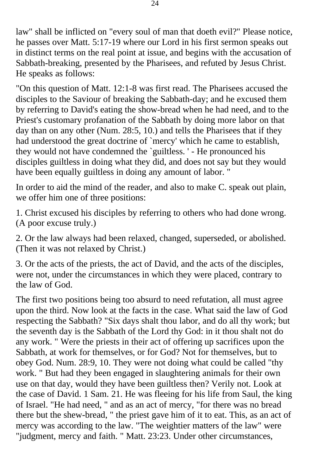law" shall be inflicted on "every soul of man that doeth evil?" Please notice, he passes over Matt. 5:17-19 where our Lord in his first sermon speaks out in distinct terms on the real point at issue, and begins with the accusation of Sabbath-breaking, presented by the Pharisees, and refuted by Jesus Christ. He speaks as follows:

"On this question of Matt. 12:1-8 was first read. The Pharisees accused the disciples to the Saviour of breaking the Sabbath-day; and he excused them by referring to David's eating the show-bread when he had need, and to the Priest's customary profanation of the Sabbath by doing more labor on that day than on any other (Num. 28:5, 10.) and tells the Pharisees that if they had understood the great doctrine of `mercy' which he came to establish, they would not have condemned the `guiltless. ' - He pronounced his disciples guiltless in doing what they did, and does not say but they would have been equally guiltless in doing any amount of labor. "

In order to aid the mind of the reader, and also to make C. speak out plain, we offer him one of three positions:

1. Christ excused his disciples by referring to others who had done wrong. (A poor excuse truly.)

2. Or the law always had been relaxed, changed, superseded, or abolished. (Then it was not relaxed by Christ.)

3. Or the acts of the priests, the act of David, and the acts of the disciples, were not, under the circumstances in which they were placed, contrary to the law of God.

The first two positions being too absurd to need refutation, all must agree upon the third. Now look at the facts in the case. What said the law of God respecting the Sabbath? "Six days shalt thou labor, and do all thy work; but the seventh day is the Sabbath of the Lord thy God: in it thou shalt not do any work. " Were the priests in their act of offering up sacrifices upon the Sabbath, at work for themselves, or for God? Not for themselves, but to obey God. Num. 28:9, 10. They were not doing what could be called "thy work. " But had they been engaged in slaughtering animals for their own use on that day, would they have been guiltless then? Verily not. Look at the case of David. 1 Sam. 21. He was fleeing for his life from Saul, the king of Israel. "He had need, " and as an act of mercy, "for there was no bread there but the shew-bread, " the priest gave him of it to eat. This, as an act of mercy was according to the law. "The weightier matters of the law" were "judgment, mercy and faith. " Matt. 23:23. Under other circumstances,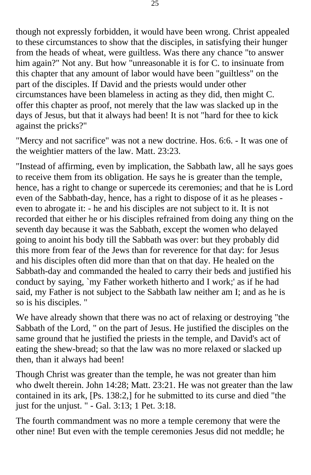though not expressly forbidden, it would have been wrong. Christ appealed to these circumstances to show that the disciples, in satisfying their hunger from the heads of wheat, were guiltless. Was there any chance "to answer him again?" Not any. But how "unreasonable it is for C. to insinuate from this chapter that any amount of labor would have been "guiltless" on the part of the disciples. If David and the priests would under other circumstances have been blameless in acting as they did, then might C. offer this chapter as proof, not merely that the law was slacked up in the days of Jesus, but that it always had been! It is not "hard for thee to kick against the pricks?"

"Mercy and not sacrifice" was not a new doctrine. Hos. 6:6. - It was one of the weightier matters of the law. Matt. 23:23.

"Instead of affirming, even by implication, the Sabbath law, all he says goes to receive them from its obligation. He says he is greater than the temple, hence, has a right to change or supercede its ceremonies; and that he is Lord even of the Sabbath-day, hence, has a right to dispose of it as he pleases even to abrogate it: - he and his disciples are not subject to it. It is not recorded that either he or his disciples refrained from doing any thing on the seventh day because it was the Sabbath, except the women who delayed going to anoint his body till the Sabbath was over: but they probably did this more from fear of the Jews than for reverence for that day: for Jesus and his disciples often did more than that on that day. He healed on the Sabbath-day and commanded the healed to carry their beds and justified his conduct by saying, `my Father worketh hitherto and I work;' as if he had said, my Father is not subject to the Sabbath law neither am I; and as he is so is his disciples. "

We have already shown that there was no act of relaxing or destroying "the Sabbath of the Lord, " on the part of Jesus. He justified the disciples on the same ground that he justified the priests in the temple, and David's act of eating the shew-bread; so that the law was no more relaxed or slacked up then, than it always had been!

Though Christ was greater than the temple, he was not greater than him who dwelt therein. John 14:28; Matt. 23:21. He was not greater than the law contained in its ark, [Ps. 138:2,] for he submitted to its curse and died "the just for the unjust. " - Gal. 3:13; 1 Pet. 3:18.

The fourth commandment was no more a temple ceremony that were the other nine! But even with the temple ceremonies Jesus did not meddle; he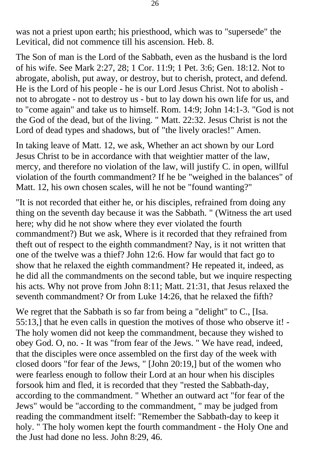was not a priest upon earth; his priesthood, which was to "supersede" the Levitical, did not commence till his ascension. Heb. 8.

The Son of man is the Lord of the Sabbath, even as the husband is the lord of his wife. See Mark 2:27, 28; 1 Cor. 11:9; 1 Pet. 3:6; Gen. 18:12. Not to abrogate, abolish, put away, or destroy, but to cherish, protect, and defend. He is the Lord of his people - he is our Lord Jesus Christ. Not to abolish not to abrogate - not to destroy us - but to lay down his own life for us, and to "come again" and take us to himself. Rom. 14:9; John 14:1-3. "God is not the God of the dead, but of the living. " Matt. 22:32. Jesus Christ is not the Lord of dead types and shadows, but of "the lively oracles!" Amen.

In taking leave of Matt. 12, we ask, Whether an act shown by our Lord Jesus Christ to be in accordance with that weightier matter of the law, mercy, and therefore no violation of the law, will justify C. in open, willful violation of the fourth commandment? If he be "weighed in the balances" of Matt. 12, his own chosen scales, will he not be "found wanting?"

"It is not recorded that either he, or his disciples, refrained from doing any thing on the seventh day because it was the Sabbath. " (Witness the art used here; why did he not show where they ever violated the fourth commandment?) But we ask, Where is it recorded that they refrained from theft out of respect to the eighth commandment? Nay, is it not written that one of the twelve was a thief? John 12:6. How far would that fact go to show that he relaxed the eighth commandment? He repeated it, indeed, as he did all the commandments on the second table, but we inquire respecting his acts. Why not prove from John 8:11; Matt. 21:31, that Jesus relaxed the seventh commandment? Or from Luke 14:26, that he relaxed the fifth?

We regret that the Sabbath is so far from being a "delight" to C., [Isa. 55:13,] that he even calls in question the motives of those who observe it! - The holy women did not keep the commandment, because they wished to obey God. O, no. - It was "from fear of the Jews. " We have read, indeed, that the disciples were once assembled on the first day of the week with closed doors "for fear of the Jews, " [John 20:19,] but of the women who were fearless enough to follow their Lord at an hour when his disciples forsook him and fled, it is recorded that they "rested the Sabbath-day, according to the commandment. " Whether an outward act "for fear of the Jews" would be "according to the commandment, " may be judged from reading the commandment itself: "Remember the Sabbath-day to keep it holy. " The holy women kept the fourth commandment - the Holy One and the Just had done no less. John 8:29, 46.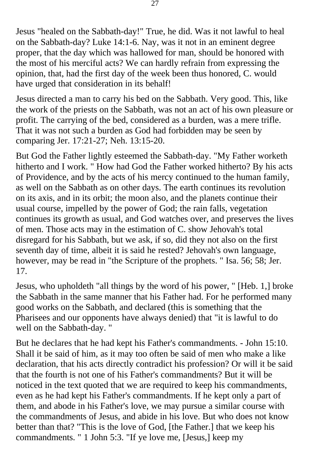Jesus "healed on the Sabbath-day!" True, he did. Was it not lawful to heal on the Sabbath-day? Luke 14:1-6. Nay, was it not in an eminent degree proper, that the day which was hallowed for man, should be honored with the most of his merciful acts? We can hardly refrain from expressing the opinion, that, had the first day of the week been thus honored, C. would have urged that consideration in its behalf!

Jesus directed a man to carry his bed on the Sabbath. Very good. This, like the work of the priests on the Sabbath, was not an act of his own pleasure or profit. The carrying of the bed, considered as a burden, was a mere trifle. That it was not such a burden as God had forbidden may be seen by comparing Jer. 17:21-27; Neh. 13:15-20.

But God the Father lightly esteemed the Sabbath-day. "My Father worketh hitherto and I work. " How had God the Father worked hitherto? By his acts of Providence, and by the acts of his mercy continued to the human family, as well on the Sabbath as on other days. The earth continues its revolution on its axis, and in its orbit; the moon also, and the planets continue their usual course, impelled by the power of God; the rain falls, vegetation continues its growth as usual, and God watches over, and preserves the lives of men. Those acts may in the estimation of C. show Jehovah's total disregard for his Sabbath, but we ask, if so, did they not also on the first seventh day of time, albeit it is said he rested? Jehovah's own language, however, may be read in "the Scripture of the prophets. " Isa. 56; 58; Jer. 17.

Jesus, who upholdeth "all things by the word of his power, " [Heb. 1,] broke the Sabbath in the same manner that his Father had. For he performed many good works on the Sabbath, and declared (this is something that the Pharisees and our opponents have always denied) that "it is lawful to do well on the Sabbath-day. "

But he declares that he had kept his Father's commandments. - John 15:10. Shall it be said of him, as it may too often be said of men who make a like declaration, that his acts directly contradict his profession? Or will it be said that the fourth is not one of his Father's commandments? But it will be noticed in the text quoted that we are required to keep his commandments, even as he had kept his Father's commandments. If he kept only a part of them, and abode in his Father's love, we may pursue a similar course with the commandments of Jesus, and abide in his love. But who does not know better than that? "This is the love of God, [the Father.] that we keep his commandments. " 1 John 5:3. "If ye love me, [Jesus,] keep my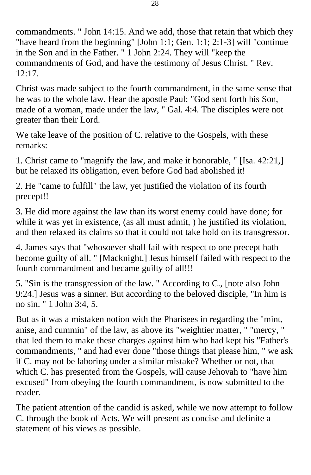commandments. " John 14:15. And we add, those that retain that which they "have heard from the beginning" [John 1:1; Gen. 1:1; 2:1-3] will "continue in the Son and in the Father. " 1 John 2:24. They will "keep the commandments of God, and have the testimony of Jesus Christ. " Rev. 12:17.

Christ was made subject to the fourth commandment, in the same sense that he was to the whole law. Hear the apostle Paul: "God sent forth his Son, made of a woman, made under the law, " Gal. 4:4. The disciples were not greater than their Lord.

We take leave of the position of C. relative to the Gospels, with these remarks:

1. Christ came to "magnify the law, and make it honorable, " [Isa. 42:21,] but he relaxed its obligation, even before God had abolished it!

2. He "came to fulfill" the law, yet justified the violation of its fourth precept!!

3. He did more against the law than its worst enemy could have done; for while it was yet in existence, (as all must admit, ) he justified its violation, and then relaxed its claims so that it could not take hold on its transgressor.

4. James says that "whosoever shall fail with respect to one precept hath become guilty of all. " [Macknight.] Jesus himself failed with respect to the fourth commandment and became guilty of all!!!

5. "Sin is the transgression of the law. " According to C., [note also John 9:24.] Jesus was a sinner. But according to the beloved disciple, "In him is no sin. " 1 John 3:4, 5.

But as it was a mistaken notion with the Pharisees in regarding the "mint, anise, and cummin" of the law, as above its "weightier matter, " "mercy, " that led them to make these charges against him who had kept his "Father's commandments, " and had ever done "those things that please him, " we ask if C. may not be laboring under a similar mistake? Whether or not, that which C. has presented from the Gospels, will cause Jehovah to "have him excused" from obeying the fourth commandment, is now submitted to the reader.

The patient attention of the candid is asked, while we now attempt to follow C. through the book of Acts. We will present as concise and definite a statement of his views as possible.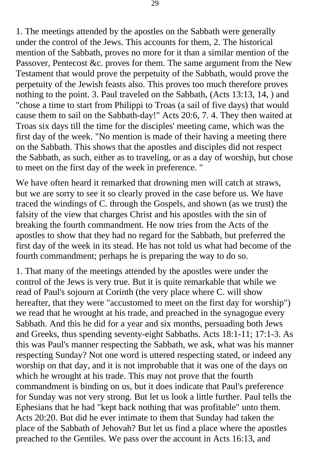1. The meetings attended by the apostles on the Sabbath were generally under the control of the Jews. This accounts for them, 2. The historical mention of the Sabbath, proves no more for it than a similar mention of the Passover, Pentecost &c. proves for them. The same argument from the New Testament that would prove the perpetuity of the Sabbath, would prove the perpetuity of the Jewish feasts also. This proves too much therefore proves nothing to the point. 3. Paul traveled on the Sabbath, (Acts 13:13, 14, ) and "chose a time to start from Philippi to Troas (a sail of five days) that would cause them to sail on the Sabbath-day!" Acts 20:6, 7. 4. They then waited at Troas six days till the time for the disciples' meeting came, which was the first day of the week. "No mention is made of their having a meeting there on the Sabbath. This shows that the apostles and disciples did not respect the Sabbath, as such, either as to traveling, or as a day of worship, but chose to meet on the first day of the week in preference. "

We have often heard it remarked that drowning men will catch at straws, but we are sorry to see it so clearly proved in the case before us. We have traced the windings of C. through the Gospels, and shown (as we trust) the falsity of the view that charges Christ and his apostles with the sin of breaking the fourth commandment. He now tries from the Acts of the apostles to show that they had no regard for the Sabbath, but preferred the first day of the week in its stead. He has not told us what had become of the fourth commandment; perhaps he is preparing the way to do so.

1. That many of the meetings attended by the apostles were under the control of the Jews is very true. But it is quite remarkable that while we read of Paul's sojourn at Corinth (the very place where C. will show hereafter, that they were "accustomed to meet on the first day for worship") we read that he wrought at his trade, and preached in the synagogue every Sabbath. And this he did for a year and six months, persuading both Jews and Greeks, thus spending seventy-eight Sabbaths. Acts 18:1-11; 17:1-3. As this was Paul's manner respecting the Sabbath, we ask, what was his manner respecting Sunday? Not one word is uttered respecting stated, or indeed any worship on that day, and it is not improbable that it was one of the days on which he wrought at his trade. This may not prove that the fourth commandment is binding on us, but it does indicate that Paul's preference for Sunday was not very strong. But let us look a little further. Paul tells the Ephesians that he had "kept back nothing that was profitable" unto them. Acts 20:20. But did he ever intimate to them that Sunday had taken the place of the Sabbath of Jehovah? But let us find a place where the apostles preached to the Gentiles. We pass over the account in Acts 16:13, and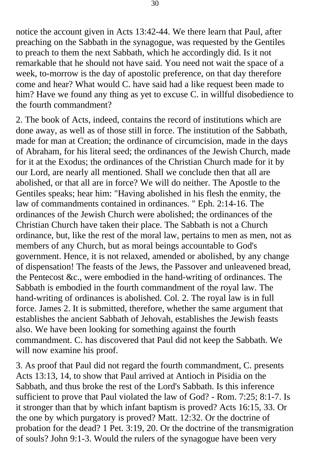notice the account given in Acts 13:42-44. We there learn that Paul, after preaching on the Sabbath in the synagogue, was requested by the Gentiles to preach to them the next Sabbath, which he accordingly did. Is it not remarkable that he should not have said. You need not wait the space of a week, to-morrow is the day of apostolic preference, on that day therefore come and hear? What would C. have said had a like request been made to him? Have we found any thing as yet to excuse C. in willful disobedience to the fourth commandment?

2. The book of Acts, indeed, contains the record of institutions which are done away, as well as of those still in force. The institution of the Sabbath, made for man at Creation; the ordinance of circumcision, made in the days of Abraham, for his literal seed; the ordinances of the Jewish Church, made for it at the Exodus; the ordinances of the Christian Church made for it by our Lord, are nearly all mentioned. Shall we conclude then that all are abolished, or that all are in force? We will do neither. The Apostle to the Gentiles speaks; hear him: "Having abolished in his flesh the enmity, the law of commandments contained in ordinances. " Eph. 2:14-16. The ordinances of the Jewish Church were abolished; the ordinances of the Christian Church have taken their place. The Sabbath is not a Church ordinance, but, like the rest of the moral law, pertains to men as men, not as members of any Church, but as moral beings accountable to God's government. Hence, it is not relaxed, amended or abolished, by any change of dispensation! The feasts of the Jews, the Passover and unleavened bread, the Pentecost &c., were embodied in the hand-writing of ordinances. The Sabbath is embodied in the fourth commandment of the royal law. The hand-writing of ordinances is abolished. Col. 2. The royal law is in full force. James 2. It is submitted, therefore, whether the same argument that establishes the ancient Sabbath of Jehovah, establishes the Jewish feasts also. We have been looking for something against the fourth commandment. C. has discovered that Paul did not keep the Sabbath. We will now examine his proof.

3. As proof that Paul did not regard the fourth commandment, C. presents Acts 13:13, 14, to show that Paul arrived at Antioch in Pisidia on the Sabbath, and thus broke the rest of the Lord's Sabbath. Is this inference sufficient to prove that Paul violated the law of God? - Rom. 7:25; 8:1-7. Is it stronger than that by which infant baptism is proved? Acts 16:15, 33. Or the one by which purgatory is proved? Matt. 12:32. Or the doctrine of probation for the dead? 1 Pet. 3:19, 20. Or the doctrine of the transmigration of souls? John 9:1-3. Would the rulers of the synagogue have been very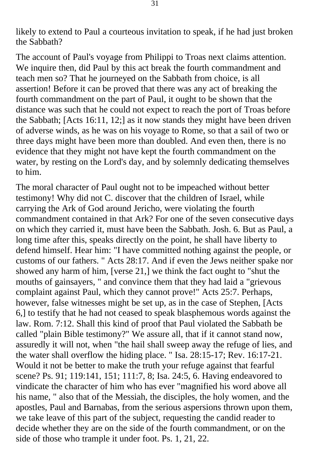likely to extend to Paul a courteous invitation to speak, if he had just broken the Sabbath?

The account of Paul's voyage from Philippi to Troas next claims attention. We inquire then, did Paul by this act break the fourth commandment and teach men so? That he journeyed on the Sabbath from choice, is all assertion! Before it can be proved that there was any act of breaking the fourth commandment on the part of Paul, it ought to be shown that the distance was such that he could not expect to reach the port of Troas before the Sabbath; [Acts 16:11, 12;] as it now stands they might have been driven of adverse winds, as he was on his voyage to Rome, so that a sail of two or three days might have been more than doubled. And even then, there is no evidence that they might not have kept the fourth commandment on the water, by resting on the Lord's day, and by solemnly dedicating themselves to him.

The moral character of Paul ought not to be impeached without better testimony! Why did not C. discover that the children of Israel, while carrying the Ark of God around Jericho, were violating the fourth commandment contained in that Ark? For one of the seven consecutive days on which they carried it, must have been the Sabbath. Josh. 6. But as Paul, a long time after this, speaks directly on the point, he shall have liberty to defend himself. Hear him: "I have committed nothing against the people, or customs of our fathers. " Acts 28:17. And if even the Jews neither spake nor showed any harm of him, [verse 21,] we think the fact ought to "shut the mouths of gainsayers, " and convince them that they had laid a "grievous complaint against Paul, which they cannot prove!" Acts 25:7. Perhaps, however, false witnesses might be set up, as in the case of Stephen, [Acts 6,] to testify that he had not ceased to speak blasphemous words against the law. Rom. 7:12. Shall this kind of proof that Paul violated the Sabbath be called "plain Bible testimony?" We assure all, that if it cannot stand now, assuredly it will not, when "the hail shall sweep away the refuge of lies, and the water shall overflow the hiding place. " Isa. 28:15-17; Rev. 16:17-21. Would it not be better to make the truth your refuge against that fearful scene? Ps. 91; 119:141, 151; 111:7, 8; Isa. 24:5, 6. Having endeavored to vindicate the character of him who has ever "magnified his word above all his name, " also that of the Messiah, the disciples, the holy women, and the apostles, Paul and Barnabas, from the serious aspersions thrown upon them, we take leave of this part of the subject, requesting the candid reader to decide whether they are on the side of the fourth commandment, or on the side of those who trample it under foot. Ps. 1, 21, 22.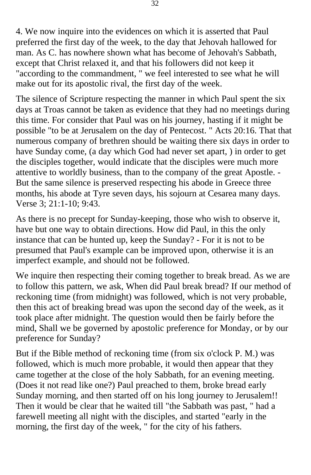4. We now inquire into the evidences on which it is asserted that Paul preferred the first day of the week, to the day that Jehovah hallowed for man. As C. has nowhere shown what has become of Jehovah's Sabbath, except that Christ relaxed it, and that his followers did not keep it "according to the commandment, " we feel interested to see what he will make out for its apostolic rival, the first day of the week.

The silence of Scripture respecting the manner in which Paul spent the six days at Troas cannot be taken as evidence that they had no meetings during this time. For consider that Paul was on his journey, hasting if it might be possible "to be at Jerusalem on the day of Pentecost. " Acts 20:16. That that numerous company of brethren should be waiting there six days in order to have Sunday come, (a day which God had never set apart, ) in order to get the disciples together, would indicate that the disciples were much more attentive to worldly business, than to the company of the great Apostle. - But the same silence is preserved respecting his abode in Greece three months, his abode at Tyre seven days, his sojourn at Cesarea many days. Verse 3; 21:1-10; 9:43.

As there is no precept for Sunday-keeping, those who wish to observe it, have but one way to obtain directions. How did Paul, in this the only instance that can be hunted up, keep the Sunday? - For it is not to be presumed that Paul's example can be improved upon, otherwise it is an imperfect example, and should not be followed.

We inquire then respecting their coming together to break bread. As we are to follow this pattern, we ask, When did Paul break bread? If our method of reckoning time (from midnight) was followed, which is not very probable, then this act of breaking bread was upon the second day of the week, as it took place after midnight. The question would then be fairly before the mind, Shall we be governed by apostolic preference for Monday, or by our preference for Sunday?

But if the Bible method of reckoning time (from six o'clock P. M.) was followed, which is much more probable, it would then appear that they came together at the close of the holy Sabbath, for an evening meeting. (Does it not read like one?) Paul preached to them, broke bread early Sunday morning, and then started off on his long journey to Jerusalem!! Then it would be clear that he waited till "the Sabbath was past, " had a farewell meeting all night with the disciples, and started "early in the morning, the first day of the week, " for the city of his fathers.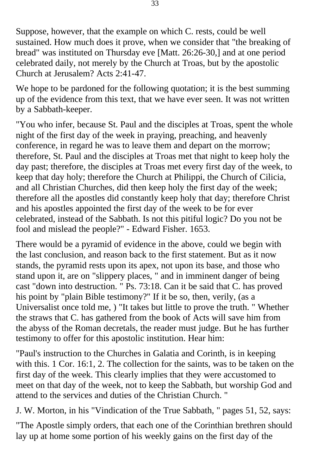Suppose, however, that the example on which C. rests, could be well sustained. How much does it prove, when we consider that "the breaking of bread" was instituted on Thursday eve [Matt. 26:26-30,] and at one period celebrated daily, not merely by the Church at Troas, but by the apostolic Church at Jerusalem? Acts 2:41-47.

We hope to be pardoned for the following quotation; it is the best summing up of the evidence from this text, that we have ever seen. It was not written by a Sabbath-keeper.

"You who infer, because St. Paul and the disciples at Troas, spent the whole night of the first day of the week in praying, preaching, and heavenly conference, in regard he was to leave them and depart on the morrow; therefore, St. Paul and the disciples at Troas met that night to keep holy the day past; therefore, the disciples at Troas met every first day of the week, to keep that day holy; therefore the Church at Philippi, the Church of Cilicia, and all Christian Churches, did then keep holy the first day of the week; therefore all the apostles did constantly keep holy that day; therefore Christ and his apostles appointed the first day of the week to be for ever celebrated, instead of the Sabbath. Is not this pitiful logic? Do you not be fool and mislead the people?" - Edward Fisher. 1653.

There would be a pyramid of evidence in the above, could we begin with the last conclusion, and reason back to the first statement. But as it now stands, the pyramid rests upon its apex, not upon its base, and those who stand upon it, are on "slippery places, " and in imminent danger of being cast "down into destruction. " Ps. 73:18. Can it be said that C. has proved his point by "plain Bible testimony?" If it be so, then, verily, (as a Universalist once told me, ) "It takes but little to prove the truth. " Whether the straws that C. has gathered from the book of Acts will save him from the abyss of the Roman decretals, the reader must judge. But he has further testimony to offer for this apostolic institution. Hear him:

"Paul's instruction to the Churches in Galatia and Corinth, is in keeping with this. 1 Cor. 16:1, 2. The collection for the saints, was to be taken on the first day of the week. This clearly implies that they were accustomed to meet on that day of the week, not to keep the Sabbath, but worship God and attend to the services and duties of the Christian Church. "

J. W. Morton, in his "Vindication of the True Sabbath, " pages 51, 52, says:

"The Apostle simply orders, that each one of the Corinthian brethren should lay up at home some portion of his weekly gains on the first day of the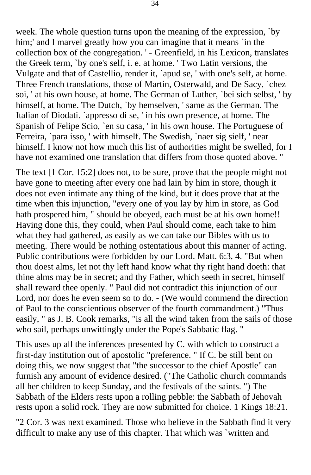week. The whole question turns upon the meaning of the expression, `by him;' and I marvel greatly how you can imagine that it means `in the collection box of the congregation. ' - Greenfield, in his Lexicon, translates the Greek term, `by one's self, i. e. at home. ' Two Latin versions, the Vulgate and that of Castellio, render it, `apud se, ' with one's self, at home. Three French translations, those of Martin, Osterwald, and De Sacy, `chez soi, ' at his own house, at home. The German of Luther, `bei sich selbst, ' by himself, at home. The Dutch, `by hemselven, ' same as the German. The Italian of Diodati. `appresso di se, ' in his own presence, at home. The Spanish of Felipe Scio, `en su casa, ' in his own house. The Portuguese of Ferreira, `para isso, ' with himself. The Swedish, `naer sig sielf, ' near himself. I know not how much this list of authorities might be swelled, for I have not examined one translation that differs from those quoted above. "

The text [1 Cor. 15:2] does not, to be sure, prove that the people might not have gone to meeting after every one had lain by him in store, though it does not even intimate any thing of the kind, but it does prove that at the time when this injunction, "every one of you lay by him in store, as God hath prospered him, " should be obeyed, each must be at his own home!! Having done this, they could, when Paul should come, each take to him what they had gathered, as easily as we can take our Bibles with us to meeting. There would be nothing ostentatious about this manner of acting. Public contributions were forbidden by our Lord. Matt. 6:3, 4. "But when thou doest alms, let not thy left hand know what thy right hand doeth: that thine alms may be in secret; and thy Father, which seeth in secret, himself shall reward thee openly. " Paul did not contradict this injunction of our Lord, nor does he even seem so to do. - (We would commend the direction of Paul to the conscientious observer of the fourth commandment.) "Thus easily, " as J. B. Cook remarks, "is all the wind taken from the sails of those who sail, perhaps unwittingly under the Pope's Sabbatic flag. "

This uses up all the inferences presented by C. with which to construct a first-day institution out of apostolic "preference. " If C. be still bent on doing this, we now suggest that "the successor to the chief Apostle" can furnish any amount of evidence desired. ("The Catholic church commands all her children to keep Sunday, and the festivals of the saints. ") The Sabbath of the Elders rests upon a rolling pebble: the Sabbath of Jehovah rests upon a solid rock. They are now submitted for choice. 1 Kings 18:21.

"2 Cor. 3 was next examined. Those who believe in the Sabbath find it very difficult to make any use of this chapter. That which was `written and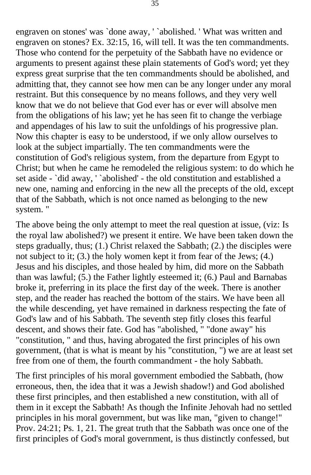engraven on stones' was `done away, ' `abolished. ' What was written and engraven on stones? Ex. 32:15, 16, will tell. It was the ten commandments. Those who contend for the perpetuity of the Sabbath have no evidence or arguments to present against these plain statements of God's word; yet they express great surprise that the ten commandments should be abolished, and admitting that, they cannot see how men can be any longer under any moral restraint. But this consequence by no means follows, and they very well know that we do not believe that God ever has or ever will absolve men from the obligations of his law; yet he has seen fit to change the verbiage and appendages of his law to suit the unfoldings of his progressive plan. Now this chapter is easy to be understood, if we only allow ourselves to look at the subject impartially. The ten commandments were the constitution of God's religious system, from the departure from Egypt to Christ; but when he came he remodeled the religious system: to do which he set aside - `did away, ' `abolished' - the old constitution and established a new one, naming and enforcing in the new all the precepts of the old, except that of the Sabbath, which is not once named as belonging to the new system. "

The above being the only attempt to meet the real question at issue, (viz: Is the royal law abolished?) we present it entire. We have been taken down the steps gradually, thus; (1.) Christ relaxed the Sabbath; (2.) the disciples were not subject to it; (3.) the holy women kept it from fear of the Jews; (4.) Jesus and his disciples, and those healed by him, did more on the Sabbath than was lawful; (5.) the Father lightly esteemed it; (6.) Paul and Barnabas broke it, preferring in its place the first day of the week. There is another step, and the reader has reached the bottom of the stairs. We have been all the while descending, yet have remained in darkness respecting the fate of God's law and of his Sabbath. The seventh step fitly closes this fearful descent, and shows their fate. God has "abolished, " "done away" his "constitution, " and thus, having abrogated the first principles of his own government, (that is what is meant by his "constitution, ") we are at least set free from one of them, the fourth commandment - the holy Sabbath.

The first principles of his moral government embodied the Sabbath, (how erroneous, then, the idea that it was a Jewish shadow!) and God abolished these first principles, and then established a new constitution, with all of them in it except the Sabbath! As though the Infinite Jehovah had no settled principles in his moral government, but was like man, "given to change!" Prov. 24:21; Ps. 1, 21. The great truth that the Sabbath was once one of the first principles of God's moral government, is thus distinctly confessed, but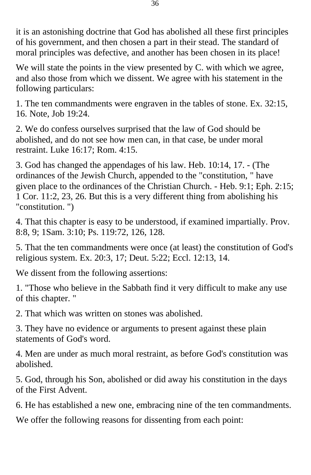it is an astonishing doctrine that God has abolished all these first principles of his government, and then chosen a part in their stead. The standard of moral principles was defective, and another has been chosen in its place!

We will state the points in the view presented by C. with which we agree, and also those from which we dissent. We agree with his statement in the following particulars:

1. The ten commandments were engraven in the tables of stone. Ex. 32:15, 16. Note, Job 19:24.

2. We do confess ourselves surprised that the law of God should be abolished, and do not see how men can, in that case, be under moral restraint. Luke 16:17; Rom. 4:15.

3. God has changed the appendages of his law. Heb. 10:14, 17. - (The ordinances of the Jewish Church, appended to the "constitution, " have given place to the ordinances of the Christian Church. - Heb. 9:1; Eph. 2:15; 1 Cor. 11:2, 23, 26. But this is a very different thing from abolishing his "constitution. ")

4. That this chapter is easy to be understood, if examined impartially. Prov. 8:8, 9; 1Sam. 3:10; Ps. 119:72, 126, 128.

5. That the ten commandments were once (at least) the constitution of God's religious system. Ex. 20:3, 17; Deut. 5:22; Eccl. 12:13, 14.

We dissent from the following assertions:

1. "Those who believe in the Sabbath find it very difficult to make any use of this chapter. "

2. That which was written on stones was abolished.

3. They have no evidence or arguments to present against these plain statements of God's word.

4. Men are under as much moral restraint, as before God's constitution was abolished.

5. God, through his Son, abolished or did away his constitution in the days of the First Advent.

6. He has established a new one, embracing nine of the ten commandments.

We offer the following reasons for dissenting from each point: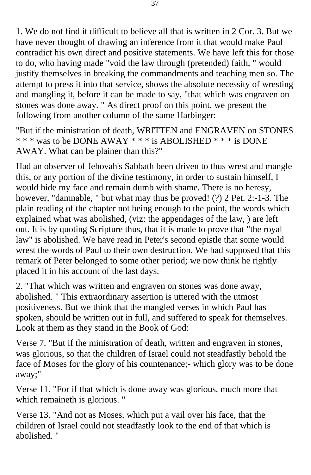1. We do not find it difficult to believe all that is written in 2 Cor. 3. But we have never thought of drawing an inference from it that would make Paul contradict his own direct and positive statements. We have left this for those to do, who having made "void the law through (pretended) faith, " would justify themselves in breaking the commandments and teaching men so. The attempt to press it into that service, shows the absolute necessity of wresting and mangling it, before it can be made to say, "that which was engraven on stones was done away. " As direct proof on this point, we present the following from another column of the same Harbinger:

"But if the ministration of death, WRITTEN and ENGRAVEN on STONES \* \* \* was to be DONE AWAY \* \* \* is ABOLISHED \* \* \* is DONE AWAY. What can be plainer than this?"

Had an observer of Jehovah's Sabbath been driven to thus wrest and mangle this, or any portion of the divine testimony, in order to sustain himself, I would hide my face and remain dumb with shame. There is no heresy, however, "damnable, " but what may thus be proved! (?) 2 Pet. 2:-1-3. The plain reading of the chapter not being enough to the point, the words which explained what was abolished, (viz: the appendages of the law, ) are left out. It is by quoting Scripture thus, that it is made to prove that "the royal law" is abolished. We have read in Peter's second epistle that some would wrest the words of Paul to their own destruction. We had supposed that this remark of Peter belonged to some other period; we now think he rightly placed it in his account of the last days.

2. "That which was written and engraven on stones was done away, abolished. " This extraordinary assertion is uttered with the utmost positiveness. But we think that the mangled verses in which Paul has spoken, should be written out in full, and suffered to speak for themselves. Look at them as they stand in the Book of God:

Verse 7. "But if the ministration of death, written and engraven in stones, was glorious, so that the children of Israel could not steadfastly behold the face of Moses for the glory of his countenance;- which glory was to be done away;"

Verse 11. "For if that which is done away was glorious, much more that which remaineth is glorious. "

Verse 13. "And not as Moses, which put a vail over his face, that the children of Israel could not steadfastly look to the end of that which is abolished. "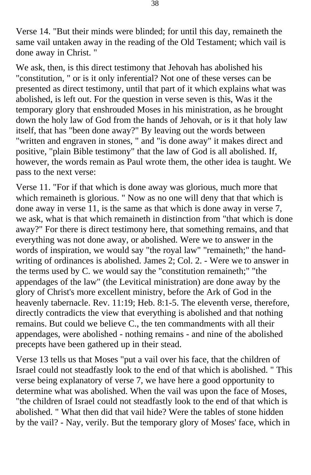Verse 14. "But their minds were blinded; for until this day, remaineth the same vail untaken away in the reading of the Old Testament; which vail is done away in Christ. "

We ask, then, is this direct testimony that Jehovah has abolished his "constitution, " or is it only inferential? Not one of these verses can be presented as direct testimony, until that part of it which explains what was abolished, is left out. For the question in verse seven is this, Was it the temporary glory that enshrouded Moses in his ministration, as he brought down the holy law of God from the hands of Jehovah, or is it that holy law itself, that has "been done away?" By leaving out the words between "written and engraven in stones, " and "is done away" it makes direct and positive, "plain Bible testimony" that the law of God is all abolished. If, however, the words remain as Paul wrote them, the other idea is taught. We pass to the next verse:

Verse 11. "For if that which is done away was glorious, much more that which remaineth is glorious. " Now as no one will deny that that which is done away in verse 11, is the same as that which is done away in verse 7, we ask, what is that which remaineth in distinction from "that which is done away?" For there is direct testimony here, that something remains, and that everything was not done away, or abolished. Were we to answer in the words of inspiration, we would say "the royal law" "remaineth;" the handwriting of ordinances is abolished. James 2; Col. 2. - Were we to answer in the terms used by C. we would say the "constitution remaineth;" "the appendages of the law" (the Levitical ministration) are done away by the glory of Christ's more excellent ministry, before the Ark of God in the heavenly tabernacle. Rev. 11:19; Heb. 8:1-5. The eleventh verse, therefore, directly contradicts the view that everything is abolished and that nothing remains. But could we believe C., the ten commandments with all their appendages, were abolished - nothing remains - and nine of the abolished precepts have been gathered up in their stead.

Verse 13 tells us that Moses "put a vail over his face, that the children of Israel could not steadfastly look to the end of that which is abolished. " This verse being explanatory of verse 7, we have here a good opportunity to determine what was abolished. When the vail was upon the face of Moses, "the children of Israel could not steadfastly look to the end of that which is abolished. " What then did that vail hide? Were the tables of stone hidden by the vail? - Nay, verily. But the temporary glory of Moses' face, which in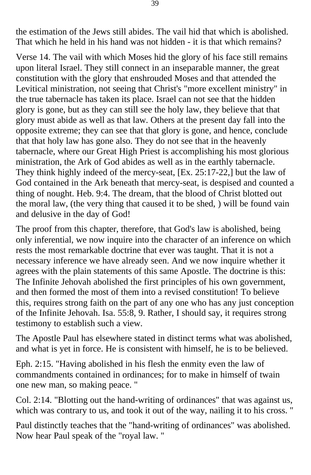the estimation of the Jews still abides. The vail hid that which is abolished. That which he held in his hand was not hidden - it is that which remains?

Verse 14. The vail with which Moses hid the glory of his face still remains upon literal Israel. They still connect in an inseparable manner, the great constitution with the glory that enshrouded Moses and that attended the Levitical ministration, not seeing that Christ's "more excellent ministry" in the true tabernacle has taken its place. Israel can not see that the hidden glory is gone, but as they can still see the holy law, they believe that that glory must abide as well as that law. Others at the present day fall into the opposite extreme; they can see that that glory is gone, and hence, conclude that that holy law has gone also. They do not see that in the heavenly tabernacle, where our Great High Priest is accomplishing his most glorious ministration, the Ark of God abides as well as in the earthly tabernacle. They think highly indeed of the mercy-seat, [Ex. 25:17-22,] but the law of God contained in the Ark beneath that mercy-seat, is despised and counted a thing of nought. Heb. 9:4. The dream, that the blood of Christ blotted out the moral law, (the very thing that caused it to be shed, ) will be found vain and delusive in the day of God!

The proof from this chapter, therefore, that God's law is abolished, being only inferential, we now inquire into the character of an inference on which rests the most remarkable doctrine that ever was taught. That it is not a necessary inference we have already seen. And we now inquire whether it agrees with the plain statements of this same Apostle. The doctrine is this: The Infinite Jehovah abolished the first principles of his own government, and then formed the most of them into a revised constitution! To believe this, requires strong faith on the part of any one who has any just conception of the Infinite Jehovah. Isa. 55:8, 9. Rather, I should say, it requires strong testimony to establish such a view.

The Apostle Paul has elsewhere stated in distinct terms what was abolished, and what is yet in force. He is consistent with himself, he is to be believed.

Eph. 2:15. "Having abolished in his flesh the enmity even the law of commandments contained in ordinances; for to make in himself of twain one new man, so making peace. "

Col. 2:14. "Blotting out the hand-writing of ordinances" that was against us, which was contrary to us, and took it out of the way, nailing it to his cross. "

Paul distinctly teaches that the "hand-writing of ordinances" was abolished. Now hear Paul speak of the "royal law. "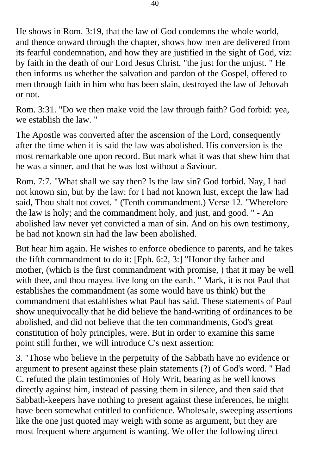He shows in Rom. 3:19, that the law of God condemns the whole world, and thence onward through the chapter, shows how men are delivered from its fearful condemnation, and how they are justified in the sight of God, viz: by faith in the death of our Lord Jesus Christ, "the just for the unjust. " He then informs us whether the salvation and pardon of the Gospel, offered to men through faith in him who has been slain, destroyed the law of Jehovah or not.

Rom. 3:31. "Do we then make void the law through faith? God forbid: yea, we establish the law. "

The Apostle was converted after the ascension of the Lord, consequently after the time when it is said the law was abolished. His conversion is the most remarkable one upon record. But mark what it was that shew him that he was a sinner, and that he was lost without a Saviour.

Rom. 7:7. "What shall we say then? Is the law sin? God forbid. Nay, I had not known sin, but by the law: for I had not known lust, except the law had said, Thou shalt not covet. " (Tenth commandment.) Verse 12. "Wherefore the law is holy; and the commandment holy, and just, and good. " - An abolished law never yet convicted a man of sin. And on his own testimony, he had not known sin had the law been abolished.

But hear him again. He wishes to enforce obedience to parents, and he takes the fifth commandment to do it: [Eph. 6:2, 3:] "Honor thy father and mother, (which is the first commandment with promise, ) that it may be well with thee, and thou mayest live long on the earth. " Mark, it is not Paul that establishes the commandment (as some would have us think) but the commandment that establishes what Paul has said. These statements of Paul show unequivocally that he did believe the hand-writing of ordinances to be abolished, and did not believe that the ten commandments, God's great constitution of holy principles, were. But in order to examine this same point still further, we will introduce C's next assertion:

3. "Those who believe in the perpetuity of the Sabbath have no evidence or argument to present against these plain statements (?) of God's word. " Had C. refuted the plain testimonies of Holy Writ, bearing as he well knows directly against him, instead of passing them in silence, and then said that Sabbath-keepers have nothing to present against these inferences, he might have been somewhat entitled to confidence. Wholesale, sweeping assertions like the one just quoted may weigh with some as argument, but they are most frequent where argument is wanting. We offer the following direct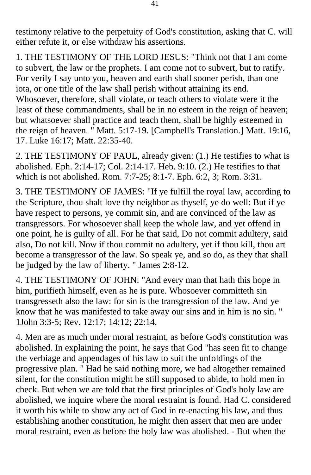testimony relative to the perpetuity of God's constitution, asking that C. will either refute it, or else withdraw his assertions.

1. THE TESTIMONY OF THE LORD JESUS: "Think not that I am come to subvert, the law or the prophets. I am come not to subvert, but to ratify. For verily I say unto you, heaven and earth shall sooner perish, than one iota, or one title of the law shall perish without attaining its end. Whosoever, therefore, shall violate, or teach others to violate were it the least of these commandments, shall be in no esteem in the reign of heaven; but whatsoever shall practice and teach them, shall be highly esteemed in the reign of heaven. " Matt. 5:17-19. [Campbell's Translation.] Matt. 19:16, 17. Luke 16:17; Matt. 22:35-40.

2. THE TESTIMONY OF PAUL, already given: (1.) He testifies to what is abolished. Eph. 2:14-17; Col. 2:14-17. Heb. 9:10. (2.) He testifies to that which is not abolished. Rom. 7:7-25; 8:1-7. Eph. 6:2, 3; Rom. 3:31.

3. THE TESTIMONY OF JAMES: "If ye fulfill the royal law, according to the Scripture, thou shalt love thy neighbor as thyself, ye do well: But if ye have respect to persons, ye commit sin, and are convinced of the law as transgressors. For whosoever shall keep the whole law, and yet offend in one point, he is guilty of all. For he that said, Do not commit adultery, said also, Do not kill. Now if thou commit no adultery, yet if thou kill, thou art become a transgressor of the law. So speak ye, and so do, as they that shall be judged by the law of liberty. " James 2:8-12.

4. THE TESTIMONY OF JOHN: "And every man that hath this hope in him, purifieth himself, even as he is pure. Whosoever committeth sin transgresseth also the law: for sin is the transgression of the law. And ye know that he was manifested to take away our sins and in him is no sin. " 1John 3:3-5; Rev. 12:17; 14:12; 22:14.

4. Men are as much under moral restraint, as before God's constitution was abolished. In explaining the point, he says that God "has seen fit to change the verbiage and appendages of his law to suit the unfoldings of the progressive plan. " Had he said nothing more, we had altogether remained silent, for the constitution might be still supposed to abide, to hold men in check. But when we are told that the first principles of God's holy law are abolished, we inquire where the moral restraint is found. Had C. considered it worth his while to show any act of God in re-enacting his law, and thus establishing another constitution, he might then assert that men are under moral restraint, even as before the holy law was abolished. - But when the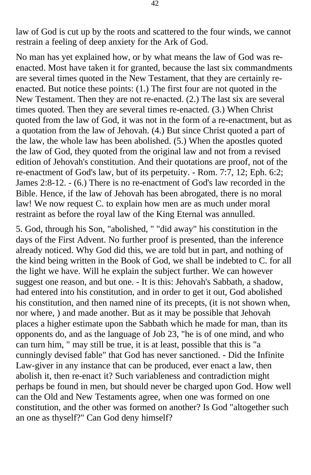law of God is cut up by the roots and scattered to the four winds, we cannot restrain a feeling of deep anxiety for the Ark of God.

No man has yet explained how, or by what means the law of God was reenacted. Most have taken it for granted, because the last six commandments are several times quoted in the New Testament, that they are certainly reenacted. But notice these points: (1.) The first four are not quoted in the New Testament. Then they are not re-enacted. (2.) The last six are several times quoted. Then they are several times re-enacted. (3.) When Christ quoted from the law of God, it was not in the form of a re-enactment, but as a quotation from the law of Jehovah. (4.) But since Christ quoted a part of the law, the whole law has been abolished. (5.) When the apostles quoted the law of God, they quoted from the original law and not from a revised edition of Jehovah's constitution. And their quotations are proof, not of the re-enactment of God's law, but of its perpetuity. - Rom. 7:7, 12; Eph. 6:2; James 2:8-12. - (6.) There is no re-enactment of God's law recorded in the Bible. Hence, if the law of Jehovah has been abrogated, there is no moral law! We now request C. to explain how men are as much under moral restraint as before the royal law of the King Eternal was annulled.

5. God, through his Son, "abolished, " "did away" his constitution in the days of the First Advent. No further proof is presented, than the inference already noticed. Why God did this, we are told but in part, and nothing of the kind being written in the Book of God, we shall be indebted to C. for all the light we have. Will he explain the subject further. We can however suggest one reason, and but one. - It is this: Jehovah's Sabbath, a shadow, had entered into his constitution, and in order to get it out, God abolished his constitution, and then named nine of its precepts, (it is not shown when, nor where, ) and made another. But as it may be possible that Jehovah places a higher estimate upon the Sabbath which he made for man, than its opponents do, and as the language of Job 23, "he is of one mind, and who can turn him, " may still be true, it is at least, possible that this is "a cunningly devised fable" that God has never sanctioned. - Did the Infinite Law-giver in any instance that can be produced, ever enact a law, then abolish it, then re-enact it? Such variableness and contradiction might perhaps be found in men, but should never be charged upon God. How well can the Old and New Testaments agree, when one was formed on one constitution, and the other was formed on another? Is God "altogether such an one as thyself?" Can God deny himself?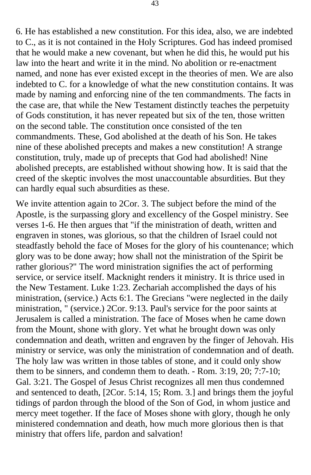6. He has established a new constitution. For this idea, also, we are indebted to C., as it is not contained in the Holy Scriptures. God has indeed promised that he would make a new covenant, but when he did this, he would put his law into the heart and write it in the mind. No abolition or re-enactment named, and none has ever existed except in the theories of men. We are also indebted to C. for a knowledge of what the new constitution contains. It was made by naming and enforcing nine of the ten commandments. The facts in the case are, that while the New Testament distinctly teaches the perpetuity of Gods constitution, it has never repeated but six of the ten, those written on the second table. The constitution once consisted of the ten commandments. These, God abolished at the death of his Son. He takes nine of these abolished precepts and makes a new constitution! A strange constitution, truly, made up of precepts that God had abolished! Nine abolished precepts, are established without showing how. It is said that the creed of the skeptic involves the most unaccountable absurdities. But they can hardly equal such absurdities as these.

We invite attention again to 2Cor. 3. The subject before the mind of the Apostle, is the surpassing glory and excellency of the Gospel ministry. See verses 1-6. He then argues that "if the ministration of death, written and engraven in stones, was glorious, so that the children of Israel could not steadfastly behold the face of Moses for the glory of his countenance; which glory was to be done away; how shall not the ministration of the Spirit be rather glorious?" The word ministration signifies the act of performing service, or service itself. Macknight renders it ministry. It is thrice used in the New Testament. Luke 1:23. Zechariah accomplished the days of his ministration, (service.) Acts 6:1. The Grecians "were neglected in the daily ministration, " (service.) 2Cor. 9:13. Paul's service for the poor saints at Jerusalem is called a ministration. The face of Moses when he came down from the Mount, shone with glory. Yet what he brought down was only condemnation and death, written and engraven by the finger of Jehovah. His ministry or service, was only the ministration of condemnation and of death. The holy law was written in those tables of stone, and it could only show them to be sinners, and condemn them to death. - Rom. 3:19, 20; 7:7-10; Gal. 3:21. The Gospel of Jesus Christ recognizes all men thus condemned and sentenced to death, [2Cor. 5:14, 15; Rom. 3.] and brings them the joyful tidings of pardon through the blood of the Son of God, in whom justice and mercy meet together. If the face of Moses shone with glory, though he only ministered condemnation and death, how much more glorious then is that ministry that offers life, pardon and salvation!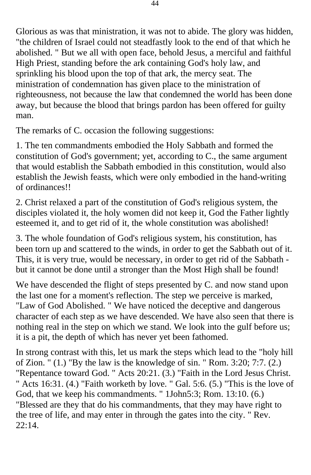Glorious as was that ministration, it was not to abide. The glory was hidden, "the children of Israel could not steadfastly look to the end of that which he abolished. " But we all with open face, behold Jesus, a merciful and faithful High Priest, standing before the ark containing God's holy law, and sprinkling his blood upon the top of that ark, the mercy seat. The ministration of condemnation has given place to the ministration of righteousness, not because the law that condemned the world has been done away, but because the blood that brings pardon has been offered for guilty man.

The remarks of C. occasion the following suggestions:

1. The ten commandments embodied the Holy Sabbath and formed the constitution of God's government; yet, according to C., the same argument that would establish the Sabbath embodied in this constitution, would also establish the Jewish feasts, which were only embodied in the hand-writing of ordinances!!

2. Christ relaxed a part of the constitution of God's religious system, the disciples violated it, the holy women did not keep it, God the Father lightly esteemed it, and to get rid of it, the whole constitution was abolished!

3. The whole foundation of God's religious system, his constitution, has been torn up and scattered to the winds, in order to get the Sabbath out of it. This, it is very true, would be necessary, in order to get rid of the Sabbath but it cannot be done until a stronger than the Most High shall be found!

We have descended the flight of steps presented by C. and now stand upon the last one for a moment's reflection. The step we perceive is marked, "Law of God Abolished. " We have noticed the deceptive and dangerous character of each step as we have descended. We have also seen that there is nothing real in the step on which we stand. We look into the gulf before us; it is a pit, the depth of which has never yet been fathomed.

In strong contrast with this, let us mark the steps which lead to the "holy hill of Zion. " (1.) "By the law is the knowledge of sin. " Rom. 3:20; 7:7. (2.) "Repentance toward God. " Acts 20:21. (3.) "Faith in the Lord Jesus Christ. " Acts 16:31. (4.) "Faith worketh by love. " Gal. 5:6. (5.) "This is the love of God, that we keep his commandments. " 1John5:3; Rom. 13:10. (6.) "Blessed are they that do his commandments, that they may have right to the tree of life, and may enter in through the gates into the city. " Rev. 22:14.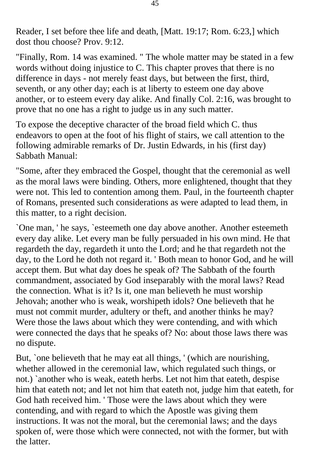Reader, I set before thee life and death, [Matt. 19:17; Rom. 6:23,] which dost thou choose? Prov. 9:12.

"Finally, Rom. 14 was examined. " The whole matter may be stated in a few words without doing injustice to C. This chapter proves that there is no difference in days - not merely feast days, but between the first, third, seventh, or any other day; each is at liberty to esteem one day above another, or to esteem every day alike. And finally Col. 2:16, was brought to prove that no one has a right to judge us in any such matter.

To expose the deceptive character of the broad field which C. thus endeavors to open at the foot of his flight of stairs, we call attention to the following admirable remarks of Dr. Justin Edwards, in his (first day) Sabbath Manual:

"Some, after they embraced the Gospel, thought that the ceremonial as well as the moral laws were binding. Others, more enlightened, thought that they were not. This led to contention among them. Paul, in the fourteenth chapter of Romans, presented such considerations as were adapted to lead them, in this matter, to a right decision.

`One man, ' he says, `esteemeth one day above another. Another esteemeth every day alike. Let every man be fully persuaded in his own mind. He that regardeth the day, regardeth it unto the Lord; and he that regardeth not the day, to the Lord he doth not regard it. ' Both mean to honor God, and he will accept them. But what day does he speak of? The Sabbath of the fourth commandment, associated by God inseparably with the moral laws? Read the connection. What is it? Is it, one man believeth he must worship Jehovah; another who is weak, worshipeth idols? One believeth that he must not commit murder, adultery or theft, and another thinks he may? Were those the laws about which they were contending, and with which were connected the days that he speaks of? No: about those laws there was no dispute.

But, `one believeth that he may eat all things, ' (which are nourishing, whether allowed in the ceremonial law, which regulated such things, or not.) `another who is weak, eateth herbs. Let not him that eateth, despise him that eateth not; and let not him that eateth not, judge him that eateth, for God hath received him. ' Those were the laws about which they were contending, and with regard to which the Apostle was giving them instructions. It was not the moral, but the ceremonial laws; and the days spoken of, were those which were connected, not with the former, but with the latter.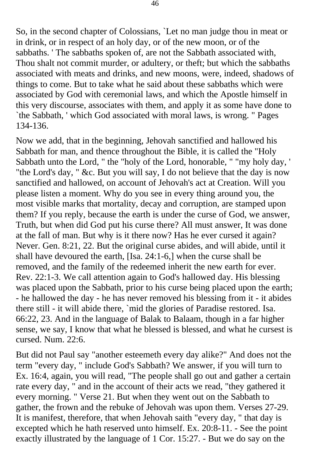So, in the second chapter of Colossians, `Let no man judge thou in meat or in drink, or in respect of an holy day, or of the new moon, or of the sabbaths. ' The sabbaths spoken of, are not the Sabbath associated with, Thou shalt not commit murder, or adultery, or theft; but which the sabbaths associated with meats and drinks, and new moons, were, indeed, shadows of things to come. But to take what he said about these sabbaths which were associated by God with ceremonial laws, and which the Apostle himself in this very discourse, associates with them, and apply it as some have done to `the Sabbath, ' which God associated with moral laws, is wrong. " Pages 134-136.

Now we add, that in the beginning, Jehovah sanctified and hallowed his Sabbath for man, and thence throughout the Bible, it is called the "Holy Sabbath unto the Lord, " the "holy of the Lord, honorable, " "my holy day, ' "the Lord's day, " &c. But you will say, I do not believe that the day is now sanctified and hallowed, on account of Jehovah's act at Creation. Will you please listen a moment. Why do you see in every thing around you, the most visible marks that mortality, decay and corruption, are stamped upon them? If you reply, because the earth is under the curse of God, we answer, Truth, but when did God put his curse there? All must answer, It was done at the fall of man. But why is it there now? Has he ever cursed it again? Never. Gen. 8:21, 22. But the original curse abides, and will abide, until it shall have devoured the earth, [Isa. 24:1-6,] when the curse shall be removed, and the family of the redeemed inherit the new earth for ever. Rev. 22:1-3. We call attention again to God's hallowed day. His blessing was placed upon the Sabbath, prior to his curse being placed upon the earth; - he hallowed the day - he has never removed his blessing from it - it abides there still - it will abide there, `mid the glories of Paradise restored. Isa. 66:22, 23. And in the language of Balak to Balaam, though in a far higher sense, we say, I know that what he blessed is blessed, and what he cursest is cursed. Num. 22:6.

But did not Paul say "another esteemeth every day alike?" And does not the term "every day, " include God's Sabbath? We answer, if you will turn to Ex. 16:4, again, you will read, "The people shall go out and gather a certain rate every day, " and in the account of their acts we read, "they gathered it every morning. " Verse 21. But when they went out on the Sabbath to gather, the frown and the rebuke of Jehovah was upon them. Verses 27-29. It is manifest, therefore, that when Jehovah saith "every day, " that day is excepted which he hath reserved unto himself. Ex. 20:8-11. - See the point exactly illustrated by the language of 1 Cor. 15:27. - But we do say on the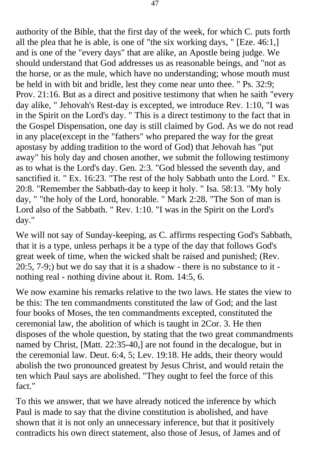authority of the Bible, that the first day of the week, for which C. puts forth all the plea that he is able, is one of "the six working days, " [Eze. 46:1,] and is one of the "every days" that are alike, an Apostle being judge. We should understand that God addresses us as reasonable beings, and "not as the horse, or as the mule, which have no understanding; whose mouth must be held in with bit and bridle, lest they come near unto thee. " Ps. 32:9; Prov. 21:16. But as a direct and positive testimony that when he saith "every day alike, " Jehovah's Rest-day is excepted, we introduce Rev. 1:10, "I was in the Spirit on the Lord's day. " This is a direct testimony to the fact that in the Gospel Dispensation, one day is still claimed by God. As we do not read in any place(except in the "fathers" who prepared the way for the great apostasy by adding tradition to the word of God) that Jehovah has "put away" his holy day and chosen another, we submit the following testimony as to what is the Lord's day. Gen. 2:3. "God blessed the seventh day, and sanctified it. " Ex. 16:23. "The rest of the holy Sabbath unto the Lord. " Ex. 20:8. "Remember the Sabbath-day to keep it holy. " Isa. 58:13. "My holy day, " "the holy of the Lord, honorable. " Mark 2:28. "The Son of man is Lord also of the Sabbath. " Rev. 1:10. "I was in the Spirit on the Lord's day."

We will not say of Sunday-keeping, as C. affirms respecting God's Sabbath, that it is a type, unless perhaps it be a type of the day that follows God's great week of time, when the wicked shalt be raised and punished; (Rev. 20:5, 7-9;) but we do say that it is a shadow - there is no substance to it nothing real - nothing divine about it. Rom. 14:5, 6.

We now examine his remarks relative to the two laws. He states the view to be this: The ten commandments constituted the law of God; and the last four books of Moses, the ten commandments excepted, constituted the ceremonial law, the abolition of which is taught in 2Cor. 3. He then disposes of the whole question, by stating that the two great commandments named by Christ, [Matt. 22:35-40,] are not found in the decalogue, but in the ceremonial law. Deut. 6:4, 5; Lev. 19:18. He adds, their theory would abolish the two pronounced greatest by Jesus Christ, and would retain the ten which Paul says are abolished. "They ought to feel the force of this fact."

To this we answer, that we have already noticed the inference by which Paul is made to say that the divine constitution is abolished, and have shown that it is not only an unnecessary inference, but that it positively contradicts his own direct statement, also those of Jesus, of James and of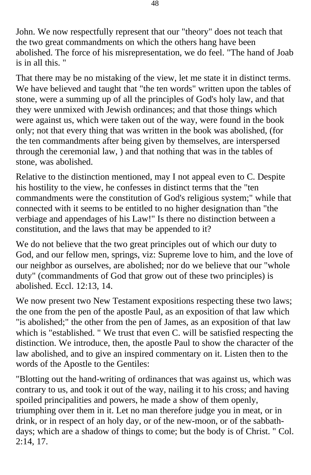John. We now respectfully represent that our "theory" does not teach that the two great commandments on which the others hang have been abolished. The force of his misrepresentation, we do feel. "The hand of Joab is in all this. "

That there may be no mistaking of the view, let me state it in distinct terms. We have believed and taught that "the ten words" written upon the tables of stone, were a summing up of all the principles of God's holy law, and that they were unmixed with Jewish ordinances; and that those things which were against us, which were taken out of the way, were found in the book only; not that every thing that was written in the book was abolished, (for the ten commandments after being given by themselves, are interspersed through the ceremonial law, ) and that nothing that was in the tables of stone, was abolished.

Relative to the distinction mentioned, may I not appeal even to C. Despite his hostility to the view, he confesses in distinct terms that the "ten commandments were the constitution of God's religious system;" while that connected with it seems to be entitled to no higher designation than "the verbiage and appendages of his Law!" Is there no distinction between a constitution, and the laws that may be appended to it?

We do not believe that the two great principles out of which our duty to God, and our fellow men, springs, viz: Supreme love to him, and the love of our neighbor as ourselves, are abolished; nor do we believe that our "whole duty" (commandments of God that grow out of these two principles) is abolished. Eccl. 12:13, 14.

We now present two New Testament expositions respecting these two laws; the one from the pen of the apostle Paul, as an exposition of that law which "is abolished;" the other from the pen of James, as an exposition of that law which is "established. " We trust that even C. will be satisfied respecting the distinction. We introduce, then, the apostle Paul to show the character of the law abolished, and to give an inspired commentary on it. Listen then to the words of the Apostle to the Gentiles:

"Blotting out the hand-writing of ordinances that was against us, which was contrary to us, and took it out of the way, nailing it to his cross; and having spoiled principalities and powers, he made a show of them openly, triumphing over them in it. Let no man therefore judge you in meat, or in drink, or in respect of an holy day, or of the new-moon, or of the sabbathdays; which are a shadow of things to come; but the body is of Christ. " Col. 2:14, 17.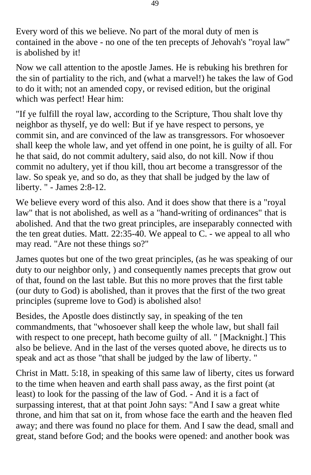Every word of this we believe. No part of the moral duty of men is contained in the above - no one of the ten precepts of Jehovah's "royal law" is abolished by it!

Now we call attention to the apostle James. He is rebuking his brethren for the sin of partiality to the rich, and (what a marvel!) he takes the law of God to do it with; not an amended copy, or revised edition, but the original which was perfect! Hear him:

"If ye fulfill the royal law, according to the Scripture, Thou shalt love thy neighbor as thyself, ye do well: But if ye have respect to persons, ye commit sin, and are convinced of the law as transgressors. For whosoever shall keep the whole law, and yet offend in one point, he is guilty of all. For he that said, do not commit adultery, said also, do not kill. Now if thou commit no adultery, yet if thou kill, thou art become a transgressor of the law. So speak ye, and so do, as they that shall be judged by the law of liberty. " - James 2:8-12.

We believe every word of this also. And it does show that there is a "royal law" that is not abolished, as well as a "hand-writing of ordinances" that is abolished. And that the two great principles, are inseparably connected with the ten great duties. Matt. 22:35-40. We appeal to C. - we appeal to all who may read. "Are not these things so?"

James quotes but one of the two great principles, (as he was speaking of our duty to our neighbor only, ) and consequently names precepts that grow out of that, found on the last table. But this no more proves that the first table (our duty to God) is abolished, than it proves that the first of the two great principles (supreme love to God) is abolished also!

Besides, the Apostle does distinctly say, in speaking of the ten commandments, that "whosoever shall keep the whole law, but shall fail with respect to one precept, hath become guilty of all. " [Macknight.] This also be believe. And in the last of the verses quoted above, he directs us to speak and act as those "that shall be judged by the law of liberty. "

Christ in Matt. 5:18, in speaking of this same law of liberty, cites us forward to the time when heaven and earth shall pass away, as the first point (at least) to look for the passing of the law of God. - And it is a fact of surpassing interest, that at that point John says: "And I saw a great white throne, and him that sat on it, from whose face the earth and the heaven fled away; and there was found no place for them. And I saw the dead, small and great, stand before God; and the books were opened: and another book was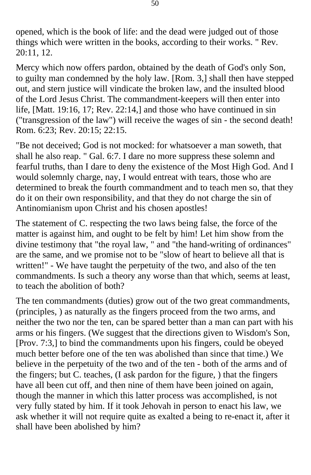opened, which is the book of life: and the dead were judged out of those things which were written in the books, according to their works. " Rev. 20:11, 12.

Mercy which now offers pardon, obtained by the death of God's only Son, to guilty man condemned by the holy law. [Rom. 3,] shall then have stepped out, and stern justice will vindicate the broken law, and the insulted blood of the Lord Jesus Christ. The commandment-keepers will then enter into life, [Matt. 19:16, 17; Rev. 22:14,] and those who have continued in sin ("transgression of the law") will receive the wages of sin - the second death! Rom. 6:23; Rev. 20:15; 22:15.

"Be not deceived; God is not mocked: for whatsoever a man soweth, that shall he also reap. " Gal. 6:7. I dare no more suppress these solemn and fearful truths, than I dare to deny the existence of the Most High God. And I would solemnly charge, nay, I would entreat with tears, those who are determined to break the fourth commandment and to teach men so, that they do it on their own responsibility, and that they do not charge the sin of Antinomianism upon Christ and his chosen apostles!

The statement of C. respecting the two laws being false, the force of the matter is against him, and ought to be felt by him! Let him show from the divine testimony that "the royal law, " and "the hand-writing of ordinances" are the same, and we promise not to be "slow of heart to believe all that is written!" - We have taught the perpetuity of the two, and also of the ten commandments. Is such a theory any worse than that which, seems at least, to teach the abolition of both?

The ten commandments (duties) grow out of the two great commandments, (principles, ) as naturally as the fingers proceed from the two arms, and neither the two nor the ten, can be spared better than a man can part with his arms or his fingers. (We suggest that the directions given to Wisdom's Son, [Prov. 7:3,] to bind the commandments upon his fingers, could be obeyed much better before one of the ten was abolished than since that time.) We believe in the perpetuity of the two and of the ten - both of the arms and of the fingers; but C. teaches, (I ask pardon for the figure, ) that the fingers have all been cut off, and then nine of them have been joined on again, though the manner in which this latter process was accomplished, is not very fully stated by him. If it took Jehovah in person to enact his law, we ask whether it will not require quite as exalted a being to re-enact it, after it shall have been abolished by him?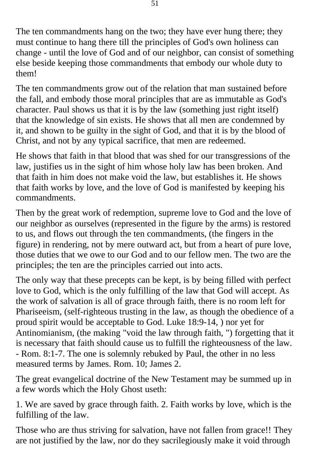The ten commandments hang on the two; they have ever hung there; they must continue to hang there till the principles of God's own holiness can change - until the love of God and of our neighbor, can consist of something else beside keeping those commandments that embody our whole duty to them!

The ten commandments grow out of the relation that man sustained before the fall, and embody those moral principles that are as immutable as God's character. Paul shows us that it is by the law (something just right itself) that the knowledge of sin exists. He shows that all men are condemned by it, and shown to be guilty in the sight of God, and that it is by the blood of Christ, and not by any typical sacrifice, that men are redeemed.

He shows that faith in that blood that was shed for our transgressions of the law, justifies us in the sight of him whose holy law has been broken. And that faith in him does not make void the law, but establishes it. He shows that faith works by love, and the love of God is manifested by keeping his commandments.

Then by the great work of redemption, supreme love to God and the love of our neighbor as ourselves (represented in the figure by the arms) is restored to us, and flows out through the ten commandments, (the fingers in the figure) in rendering, not by mere outward act, but from a heart of pure love, those duties that we owe to our God and to our fellow men. The two are the principles; the ten are the principles carried out into acts.

The only way that these precepts can be kept, is by being filled with perfect love to God, which is the only fulfilling of the law that God will accept. As the work of salvation is all of grace through faith, there is no room left for Phariseeism, (self-righteous trusting in the law, as though the obedience of a proud spirit would be acceptable to God. Luke 18:9-14, ) nor yet for Antinomianism, (the making "void the law through faith, ") forgetting that it is necessary that faith should cause us to fulfill the righteousness of the law. - Rom. 8:1-7. The one is solemnly rebuked by Paul, the other in no less measured terms by James. Rom. 10; James 2.

The great evangelical doctrine of the New Testament may be summed up in a few words which the Holy Ghost useth:

1. We are saved by grace through faith. 2. Faith works by love, which is the fulfilling of the law.

Those who are thus striving for salvation, have not fallen from grace!! They are not justified by the law, nor do they sacrilegiously make it void through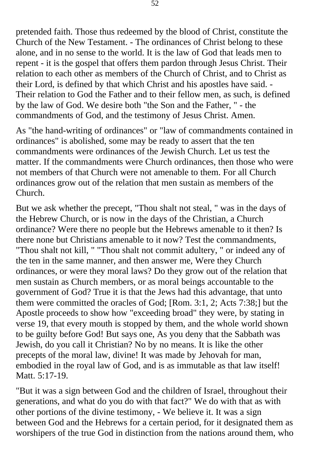pretended faith. Those thus redeemed by the blood of Christ, constitute the Church of the New Testament. - The ordinances of Christ belong to these alone, and in no sense to the world. It is the law of God that leads men to repent - it is the gospel that offers them pardon through Jesus Christ. Their relation to each other as members of the Church of Christ, and to Christ as their Lord, is defined by that which Christ and his apostles have said. - Their relation to God the Father and to their fellow men, as such, is defined by the law of God. We desire both "the Son and the Father, " - the commandments of God, and the testimony of Jesus Christ. Amen.

As "the hand-writing of ordinances" or "law of commandments contained in ordinances" is abolished, some may be ready to assert that the ten commandments were ordinances of the Jewish Church. Let us test the matter. If the commandments were Church ordinances, then those who were not members of that Church were not amenable to them. For all Church ordinances grow out of the relation that men sustain as members of the Church.

But we ask whether the precept, "Thou shalt not steal, " was in the days of the Hebrew Church, or is now in the days of the Christian, a Church ordinance? Were there no people but the Hebrews amenable to it then? Is there none but Christians amenable to it now? Test the commandments, "Thou shalt not kill, " "Thou shalt not commit adultery, " or indeed any of the ten in the same manner, and then answer me, Were they Church ordinances, or were they moral laws? Do they grow out of the relation that men sustain as Church members, or as moral beings accountable to the government of God? True it is that the Jews had this advantage, that unto them were committed the oracles of God; [Rom. 3:1, 2; Acts 7:38;] but the Apostle proceeds to show how "exceeding broad" they were, by stating in verse 19, that every mouth is stopped by them, and the whole world shown to be guilty before God! But says one, As you deny that the Sabbath was Jewish, do you call it Christian? No by no means. It is like the other precepts of the moral law, divine! It was made by Jehovah for man, embodied in the royal law of God, and is as immutable as that law itself! Matt. 5:17-19.

"But it was a sign between God and the children of Israel, throughout their generations, and what do you do with that fact?" We do with that as with other portions of the divine testimony, - We believe it. It was a sign between God and the Hebrews for a certain period, for it designated them as worshipers of the true God in distinction from the nations around them, who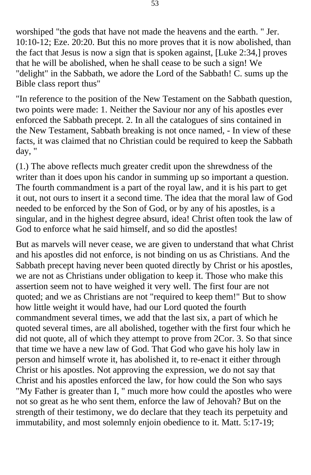worshiped "the gods that have not made the heavens and the earth. " Jer. 10:10-12; Eze. 20:20. But this no more proves that it is now abolished, than the fact that Jesus is now a sign that is spoken against, [Luke 2:34,] proves that he will be abolished, when he shall cease to be such a sign! We "delight" in the Sabbath, we adore the Lord of the Sabbath! C. sums up the Bible class report thus"

"In reference to the position of the New Testament on the Sabbath question, two points were made: 1. Neither the Saviour nor any of his apostles ever enforced the Sabbath precept. 2. In all the catalogues of sins contained in the New Testament, Sabbath breaking is not once named, - In view of these facts, it was claimed that no Christian could be required to keep the Sabbath day, "

(1.) The above reflects much greater credit upon the shrewdness of the writer than it does upon his candor in summing up so important a question. The fourth commandment is a part of the royal law, and it is his part to get it out, not ours to insert it a second time. The idea that the moral law of God needed to be enforced by the Son of God, or by any of his apostles, is a singular, and in the highest degree absurd, idea! Christ often took the law of God to enforce what he said himself, and so did the apostles!

But as marvels will never cease, we are given to understand that what Christ and his apostles did not enforce, is not binding on us as Christians. And the Sabbath precept having never been quoted directly by Christ or his apostles, we are not as Christians under obligation to keep it. Those who make this assertion seem not to have weighed it very well. The first four are not quoted; and we as Christians are not "required to keep them!" But to show how little weight it would have, had our Lord quoted the fourth commandment several times, we add that the last six, a part of which he quoted several times, are all abolished, together with the first four which he did not quote, all of which they attempt to prove from 2Cor. 3. So that since that time we have a new law of God. That God who gave his holy law in person and himself wrote it, has abolished it, to re-enact it either through Christ or his apostles. Not approving the expression, we do not say that Christ and his apostles enforced the law, for how could the Son who says "My Father is greater than I, " much more how could the apostles who were not so great as he who sent them, enforce the law of Jehovah? But on the strength of their testimony, we do declare that they teach its perpetuity and immutability, and most solemnly enjoin obedience to it. Matt. 5:17-19;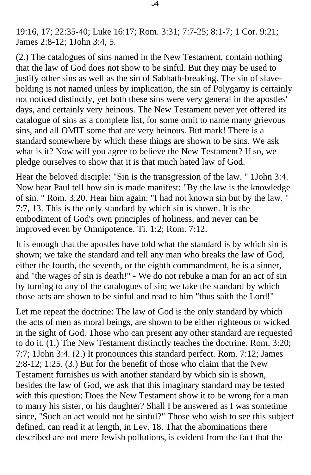19:16, 17; 22:35-40; Luke 16:17; Rom. 3:31; 7:7-25; 8:1-7; 1 Cor. 9:21; James 2:8-12; 1John 3:4, 5.

(2.) The catalogues of sins named in the New Testament, contain nothing that the law of God does not show to be sinful. But they may be used to justify other sins as well as the sin of Sabbath-breaking. The sin of slaveholding is not named unless by implication, the sin of Polygamy is certainly not noticed distinctly, yet both these sins were very general in the apostles' days, and certainly very heinous. The New Testament never yet offered its catalogue of sins as a complete list, for some omit to name many grievous sins, and all OMIT some that are very heinous. But mark! There is a standard somewhere by which these things are shown to be sins. We ask what is it? Now will you agree to believe the New Testament? If so, we pledge ourselves to show that it is that much hated law of God.

Hear the beloved disciple: "Sin is the transgression of the law. " 1John 3:4. Now hear Paul tell how sin is made manifest: "By the law is the knowledge of sin. " Rom. 3:20. Hear him again: "I had not known sin but by the law. " 7:7, 13. This is the only standard by which sin is shown. It is the embodiment of God's own principles of holiness, and never can be improved even by Omnipotence. Ti. 1:2; Rom. 7:12.

It is enough that the apostles have told what the standard is by which sin is shown; we take the standard and tell any man who breaks the law of God, either the fourth, the seventh, or the eighth commandment, he is a sinner, and "the wages of sin is death!" - We do not rebuke a man for an act of sin by turning to any of the catalogues of sin; we take the standard by which those acts are shown to be sinful and read to him "thus saith the Lord!"

Let me repeat the doctrine: The law of God is the only standard by which the acts of men as moral beings, are shown to be either righteous or wicked in the sight of God. Those who can present any other standard are requested to do it. (1.) The New Testament distinctly teaches the doctrine. Rom. 3:20; 7:7; 1John 3:4. (2.) It pronounces this standard perfect. Rom. 7:12; James 2:8-12; 1:25. (3.) But for the benefit of those who claim that the New Testament furnishes us with another standard by which sin is shown, besides the law of God, we ask that this imaginary standard may be tested with this question: Does the New Testament show it to be wrong for a man to marry his sister, or his daughter? Shall I be answered as I was sometime since, "Such an act would not be sinful?" Those who wish to see this subject defined, can read it at length, in Lev. 18. That the abominations there described are not mere Jewish pollutions, is evident from the fact that the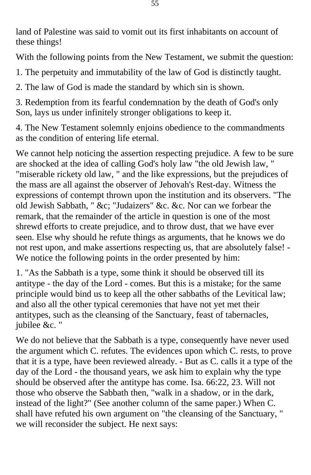land of Palestine was said to vomit out its first inhabitants on account of these things!

With the following points from the New Testament, we submit the question:

1. The perpetuity and immutability of the law of God is distinctly taught.

2. The law of God is made the standard by which sin is shown.

3. Redemption from its fearful condemnation by the death of God's only Son, lays us under infinitely stronger obligations to keep it.

4. The New Testament solemnly enjoins obedience to the commandments as the condition of entering life eternal.

We cannot help noticing the assertion respecting prejudice. A few to be sure are shocked at the idea of calling God's holy law "the old Jewish law, " "miserable rickety old law, " and the like expressions, but the prejudices of the mass are all against the observer of Jehovah's Rest-day. Witness the expressions of contempt thrown upon the institution and its observers. "The old Jewish Sabbath, " &c; "Judaizers" &c. &c. Nor can we forbear the remark, that the remainder of the article in question is one of the most shrewd efforts to create prejudice, and to throw dust, that we have ever seen. Else why should he refute things as arguments, that he knows we do not rest upon, and make assertions respecting us, that are absolutely false! - We notice the following points in the order presented by him:

1. "As the Sabbath is a type, some think it should be observed till its antitype - the day of the Lord - comes. But this is a mistake; for the same principle would bind us to keep all the other sabbaths of the Levitical law; and also all the other typical ceremonies that have not yet met their antitypes, such as the cleansing of the Sanctuary, feast of tabernacles, jubilee &c. "

We do not believe that the Sabbath is a type, consequently have never used the argument which C. refutes. The evidences upon which C. rests, to prove that it is a type, have been reviewed already. - But as C. calls it a type of the day of the Lord - the thousand years, we ask him to explain why the type should be observed after the antitype has come. Isa. 66:22, 23. Will not those who observe the Sabbath then, "walk in a shadow, or in the dark, instead of the light?" (See another column of the same paper.) When C. shall have refuted his own argument on "the cleansing of the Sanctuary, " we will reconsider the subject. He next says: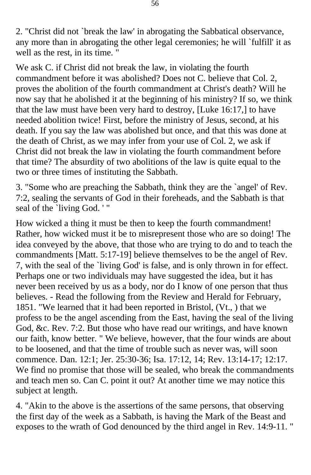2. "Christ did not `break the law' in abrogating the Sabbatical observance, any more than in abrogating the other legal ceremonies; he will `fulfill' it as well as the rest, in its time. "

We ask C. if Christ did not break the law, in violating the fourth commandment before it was abolished? Does not C. believe that Col. 2, proves the abolition of the fourth commandment at Christ's death? Will he now say that he abolished it at the beginning of his ministry? If so, we think that the law must have been very hard to destroy, [Luke 16:17,] to have needed abolition twice! First, before the ministry of Jesus, second, at his death. If you say the law was abolished but once, and that this was done at the death of Christ, as we may infer from your use of Col. 2, we ask if Christ did not break the law in violating the fourth commandment before that time? The absurdity of two abolitions of the law is quite equal to the two or three times of instituting the Sabbath.

3. "Some who are preaching the Sabbath, think they are the `angel' of Rev. 7:2, sealing the servants of God in their foreheads, and the Sabbath is that seal of the `living God. ' "

How wicked a thing it must be then to keep the fourth commandment! Rather, how wicked must it be to misrepresent those who are so doing! The idea conveyed by the above, that those who are trying to do and to teach the commandments [Matt. 5:17-19] believe themselves to be the angel of Rev. 7, with the seal of the `living God' is false, and is only thrown in for effect. Perhaps one or two individuals may have suggested the idea, but it has never been received by us as a body, nor do I know of one person that thus believes. - Read the following from the Review and Herald for February, 1851. "We learned that it had been reported in Bristol, (Vt., ) that we profess to be the angel ascending from the East, having the seal of the living God, &c. Rev. 7:2. But those who have read our writings, and have known our faith, know better. " We believe, however, that the four winds are about to be loosened, and that the time of trouble such as never was, will soon commence. Dan. 12:1; Jer. 25:30-36; Isa. 17:12, 14; Rev. 13:14-17; 12:17. We find no promise that those will be sealed, who break the commandments and teach men so. Can C. point it out? At another time we may notice this subject at length.

4. "Akin to the above is the assertions of the same persons, that observing the first day of the week as a Sabbath, is having the Mark of the Beast and exposes to the wrath of God denounced by the third angel in Rev. 14:9-11. "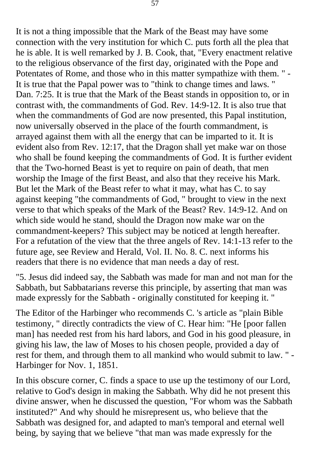It is not a thing impossible that the Mark of the Beast may have some connection with the very institution for which C. puts forth all the plea that he is able. It is well remarked by J. B. Cook, that, "Every enactment relative to the religious observance of the first day, originated with the Pope and Potentates of Rome, and those who in this matter sympathize with them. " - It is true that the Papal power was to "think to change times and laws. " Dan. 7:25. It is true that the Mark of the Beast stands in opposition to, or in contrast with, the commandments of God. Rev. 14:9-12. It is also true that when the commandments of God are now presented, this Papal institution, now universally observed in the place of the fourth commandment, is arrayed against them with all the energy that can be imparted to it. It is evident also from Rev. 12:17, that the Dragon shall yet make war on those who shall be found keeping the commandments of God. It is further evident that the Two-horned Beast is yet to require on pain of death, that men worship the Image of the first Beast, and also that they receive his Mark. But let the Mark of the Beast refer to what it may, what has C. to say against keeping "the commandments of God, " brought to view in the next verse to that which speaks of the Mark of the Beast? Rev. 14:9-12. And on which side would he stand, should the Dragon now make war on the commandment-keepers? This subject may be noticed at length hereafter. For a refutation of the view that the three angels of Rev. 14:1-13 refer to the future age, see Review and Herald, Vol. II. No. 8. C. next informs his readers that there is no evidence that man needs a day of rest.

"5. Jesus did indeed say, the Sabbath was made for man and not man for the Sabbath, but Sabbatarians reverse this principle, by asserting that man was made expressly for the Sabbath - originally constituted for keeping it. "

The Editor of the Harbinger who recommends C. 's article as "plain Bible testimony, " directly contradicts the view of C. Hear him: "He [poor fallen man] has needed rest from his hard labors, and God in his good pleasure, in giving his law, the law of Moses to his chosen people, provided a day of rest for them, and through them to all mankind who would submit to law. " - Harbinger for Nov. 1, 1851.

In this obscure corner, C. finds a space to use up the testimony of our Lord, relative to God's design in making the Sabbath. Why did he not present this divine answer, when he discussed the question, "For whom was the Sabbath instituted?" And why should he misrepresent us, who believe that the Sabbath was designed for, and adapted to man's temporal and eternal well being, by saying that we believe "that man was made expressly for the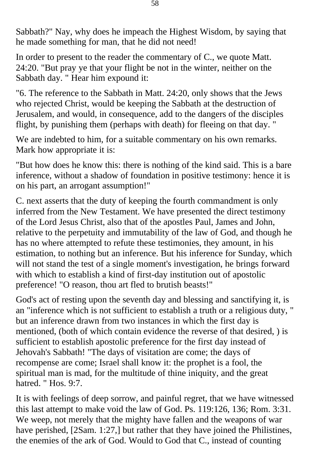Sabbath?" Nay, why does he impeach the Highest Wisdom, by saying that he made something for man, that he did not need!

In order to present to the reader the commentary of C., we quote Matt. 24:20. "But pray ye that your flight be not in the winter, neither on the Sabbath day. " Hear him expound it:

"6. The reference to the Sabbath in Matt. 24:20, only shows that the Jews who rejected Christ, would be keeping the Sabbath at the destruction of Jerusalem, and would, in consequence, add to the dangers of the disciples flight, by punishing them (perhaps with death) for fleeing on that day. "

We are indebted to him, for a suitable commentary on his own remarks. Mark how appropriate it is:

"But how does he know this: there is nothing of the kind said. This is a bare inference, without a shadow of foundation in positive testimony: hence it is on his part, an arrogant assumption!"

C. next asserts that the duty of keeping the fourth commandment is only inferred from the New Testament. We have presented the direct testimony of the Lord Jesus Christ, also that of the apostles Paul, James and John, relative to the perpetuity and immutability of the law of God, and though he has no where attempted to refute these testimonies, they amount, in his estimation, to nothing but an inference. But his inference for Sunday, which will not stand the test of a single moment's investigation, he brings forward with which to establish a kind of first-day institution out of apostolic preference! "O reason, thou art fled to brutish beasts!"

God's act of resting upon the seventh day and blessing and sanctifying it, is an "inference which is not sufficient to establish a truth or a religious duty, " but an inference drawn from two instances in which the first day is mentioned, (both of which contain evidence the reverse of that desired, ) is sufficient to establish apostolic preference for the first day instead of Jehovah's Sabbath! "The days of visitation are come; the days of recompense are come; Israel shall know it: the prophet is a fool, the spiritual man is mad, for the multitude of thine iniquity, and the great hatred. " Hos. 9:7.

It is with feelings of deep sorrow, and painful regret, that we have witnessed this last attempt to make void the law of God. Ps. 119:126, 136; Rom. 3:31. We weep, not merely that the mighty have fallen and the weapons of war have perished, [2Sam. 1:27,] but rather that they have joined the Philistines, the enemies of the ark of God. Would to God that C., instead of counting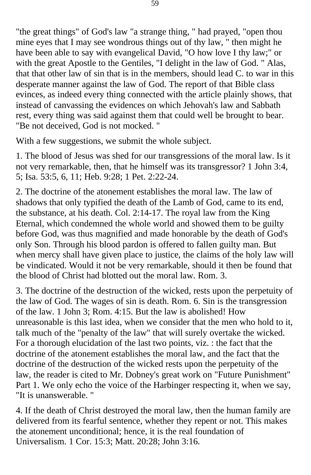"the great things" of God's law "a strange thing, " had prayed, "open thou mine eyes that I may see wondrous things out of thy law, " then might he have been able to say with evangelical David, "O how love I thy law;" or with the great Apostle to the Gentiles, "I delight in the law of God. " Alas, that that other law of sin that is in the members, should lead C. to war in this desperate manner against the law of God. The report of that Bible class evinces, as indeed every thing connected with the article plainly shows, that instead of canvassing the evidences on which Jehovah's law and Sabbath rest, every thing was said against them that could well be brought to bear. "Be not deceived, God is not mocked. "

With a few suggestions, we submit the whole subject.

1. The blood of Jesus was shed for our transgressions of the moral law. Is it not very remarkable, then, that he himself was its transgressor? 1 John 3:4, 5; Isa. 53:5, 6, 11; Heb. 9:28; 1 Pet. 2:22-24.

2. The doctrine of the atonement establishes the moral law. The law of shadows that only typified the death of the Lamb of God, came to its end, the substance, at his death. Col. 2:14-17. The royal law from the King Eternal, which condemned the whole world and showed them to be guilty before God, was thus magnified and made honorable by the death of God's only Son. Through his blood pardon is offered to fallen guilty man. But when mercy shall have given place to justice, the claims of the holy law will be vindicated. Would it not be very remarkable, should it then be found that the blood of Christ had blotted out the moral law. Rom. 3.

3. The doctrine of the destruction of the wicked, rests upon the perpetuity of the law of God. The wages of sin is death. Rom. 6. Sin is the transgression of the law. 1 John 3; Rom. 4:15. But the law is abolished! How unreasonable is this last idea, when we consider that the men who hold to it, talk much of the "penalty of the law" that will surely overtake the wicked. For a thorough elucidation of the last two points, viz. : the fact that the doctrine of the atonement establishes the moral law, and the fact that the doctrine of the destruction of the wicked rests upon the perpetuity of the law, the reader is cited to Mr. Dobney's great work on "Future Punishment" Part 1. We only echo the voice of the Harbinger respecting it, when we say, "It is unanswerable. "

4. If the death of Christ destroyed the moral law, then the human family are delivered from its fearful sentence, whether they repent or not. This makes the atonement unconditional; hence, it is the real foundation of Universalism. 1 Cor. 15:3; Matt. 20:28; John 3:16.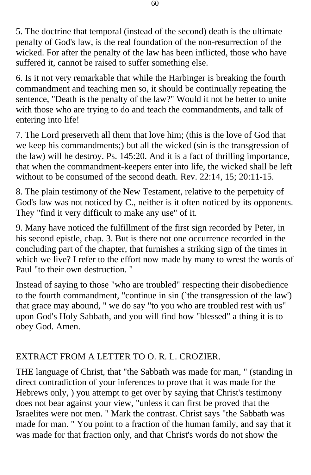5. The doctrine that temporal (instead of the second) death is the ultimate penalty of God's law, is the real foundation of the non-resurrection of the wicked. For after the penalty of the law has been inflicted, those who have suffered it, cannot be raised to suffer something else.

6. Is it not very remarkable that while the Harbinger is breaking the fourth commandment and teaching men so, it should be continually repeating the sentence, "Death is the penalty of the law?" Would it not be better to unite with those who are trying to do and teach the commandments, and talk of entering into life!

7. The Lord preserveth all them that love him; (this is the love of God that we keep his commandments;) but all the wicked (sin is the transgression of the law) will he destroy. Ps. 145:20. And it is a fact of thrilling importance, that when the commandment-keepers enter into life, the wicked shall be left without to be consumed of the second death. Rev. 22:14, 15; 20:11-15.

8. The plain testimony of the New Testament, relative to the perpetuity of God's law was not noticed by C., neither is it often noticed by its opponents. They "find it very difficult to make any use" of it.

9. Many have noticed the fulfillment of the first sign recorded by Peter, in his second epistle, chap. 3. But is there not one occurrence recorded in the concluding part of the chapter, that furnishes a striking sign of the times in which we live? I refer to the effort now made by many to wrest the words of Paul "to their own destruction. "

Instead of saying to those "who are troubled" respecting their disobedience to the fourth commandment, "continue in sin (`the transgression of the law') that grace may abound, " we do say "to you who are troubled rest with us" upon God's Holy Sabbath, and you will find how "blessed" a thing it is to obey God. Amen.

## EXTRACT FROM A LETTER TO O. R. L. CROZIER.

THE language of Christ, that "the Sabbath was made for man, " (standing in direct contradiction of your inferences to prove that it was made for the Hebrews only, ) you attempt to get over by saying that Christ's testimony does not bear against your view, "unless it can first be proved that the Israelites were not men. " Mark the contrast. Christ says "the Sabbath was made for man. " You point to a fraction of the human family, and say that it was made for that fraction only, and that Christ's words do not show the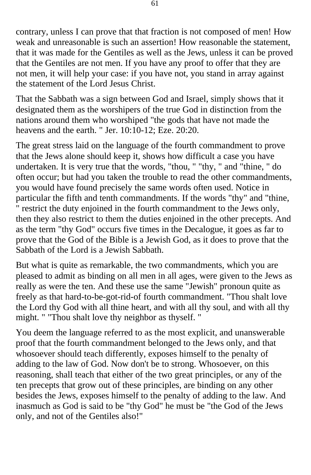contrary, unless I can prove that that fraction is not composed of men! How weak and unreasonable is such an assertion! How reasonable the statement, that it was made for the Gentiles as well as the Jews, unless it can be proved that the Gentiles are not men. If you have any proof to offer that they are not men, it will help your case: if you have not, you stand in array against the statement of the Lord Jesus Christ.

That the Sabbath was a sign between God and Israel, simply shows that it designated them as the worshipers of the true God in distinction from the nations around them who worshiped "the gods that have not made the heavens and the earth. " Jer. 10:10-12; Eze. 20:20.

The great stress laid on the language of the fourth commandment to prove that the Jews alone should keep it, shows how difficult a case you have undertaken. It is very true that the words, "thou, " "thy, " and "thine, " do often occur; but had you taken the trouble to read the other commandments, you would have found precisely the same words often used. Notice in particular the fifth and tenth commandments. If the words "thy" and "thine, " restrict the duty enjoined in the fourth commandment to the Jews only, then they also restrict to them the duties enjoined in the other precepts. And as the term "thy God" occurs five times in the Decalogue, it goes as far to prove that the God of the Bible is a Jewish God, as it does to prove that the Sabbath of the Lord is a Jewish Sabbath.

But what is quite as remarkable, the two commandments, which you are pleased to admit as binding on all men in all ages, were given to the Jews as really as were the ten. And these use the same "Jewish" pronoun quite as freely as that hard-to-be-got-rid-of fourth commandment. "Thou shalt love the Lord thy God with all thine heart, and with all thy soul, and with all thy might. " "Thou shalt love thy neighbor as thyself. "

You deem the language referred to as the most explicit, and unanswerable proof that the fourth commandment belonged to the Jews only, and that whosoever should teach differently, exposes himself to the penalty of adding to the law of God. Now don't be to strong. Whosoever, on this reasoning, shall teach that either of the two great principles, or any of the ten precepts that grow out of these principles, are binding on any other besides the Jews, exposes himself to the penalty of adding to the law. And inasmuch as God is said to be "thy God" he must be "the God of the Jews only, and not of the Gentiles also!"